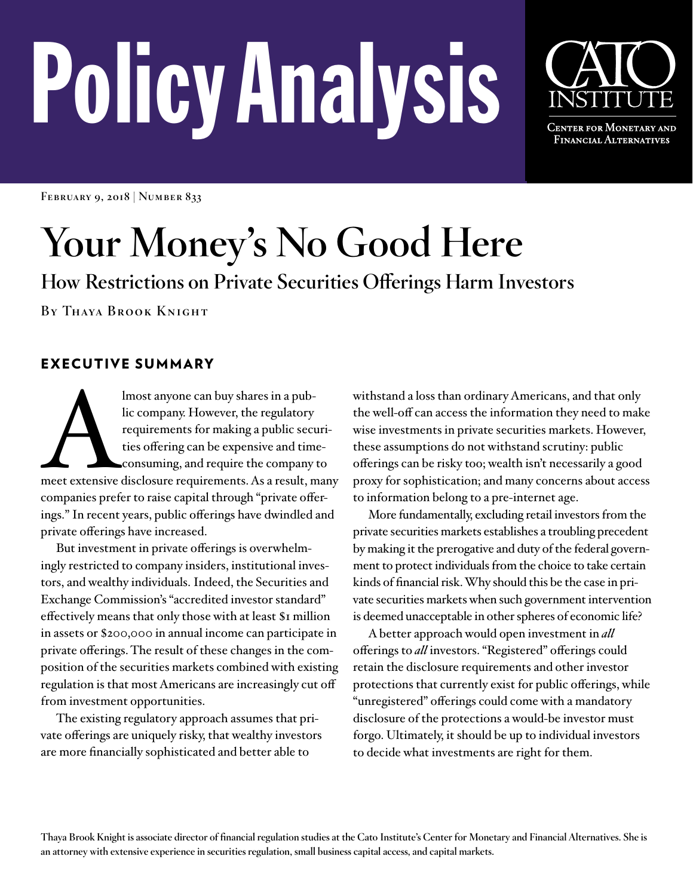# PolicyAnalysis



**CENTER FOR MONETARY AND** Financial Alternatives

**February 9, 2018 | Number 833**

# **Your Money's No Good Here**

**How Restrictions on Private Securities Offerings Harm Investors**

**By Thaya Brook Knight**

# EXECUTIVE SUMMARY

lmost anyone can buy shares in a pub-<br>lic company. However, the regulatory<br>requirements for making a public securi-<br>ties offering can be expensive and time-<br>consuming, and require the company to<br>meet extensive disclosure r lic company. However, the regulatory requirements for making a public securities offering can be expensive and timeconsuming, and require the company to companies prefer to raise capital through "private offerings." In recent years, public offerings have dwindled and private offerings have increased.

But investment in private offerings is overwhelmingly restricted to company insiders, institutional investors, and wealthy individuals. Indeed, the Securities and Exchange Commission's "accredited investor standard" effectively means that only those with at least \$1 million in assets or \$200,000 in annual income can participate in private offerings. The result of these changes in the composition of the securities markets combined with existing regulation is that most Americans are increasingly cut off from investment opportunities.

The existing regulatory approach assumes that private offerings are uniquely risky, that wealthy investors are more financially sophisticated and better able to

withstand a loss than ordinary Americans, and that only the well-off can access the information they need to make wise investments in private securities markets. However, these assumptions do not withstand scrutiny: public offerings can be risky too; wealth isn't necessarily a good proxy for sophistication; and many concerns about access to information belong to a pre-internet age.

More fundamentally, excluding retail investors from the private securities markets establishes a troubling precedent by making it the prerogative and duty of the federal government to protect individuals from the choice to take certain kinds of financial risk. Why should this be the case in private securities markets when such government intervention is deemed unacceptable in other spheres of economic life?

A better approach would open investment in *all* offerings to *all* investors. "Registered" offerings could retain the disclosure requirements and other investor protections that currently exist for public offerings, while "unregistered" offerings could come with a mandatory disclosure of the protections a would-be investor must forgo. Ultimately, it should be up to individual investors to decide what investments are right for them.

**Thaya Brook Knight is associate director of financial regulation studies at the Cato Institute's Center for Monetary and Financial Alternatives. She is an attorney with extensive experience in securities regulation, small business capital access, and capital markets.**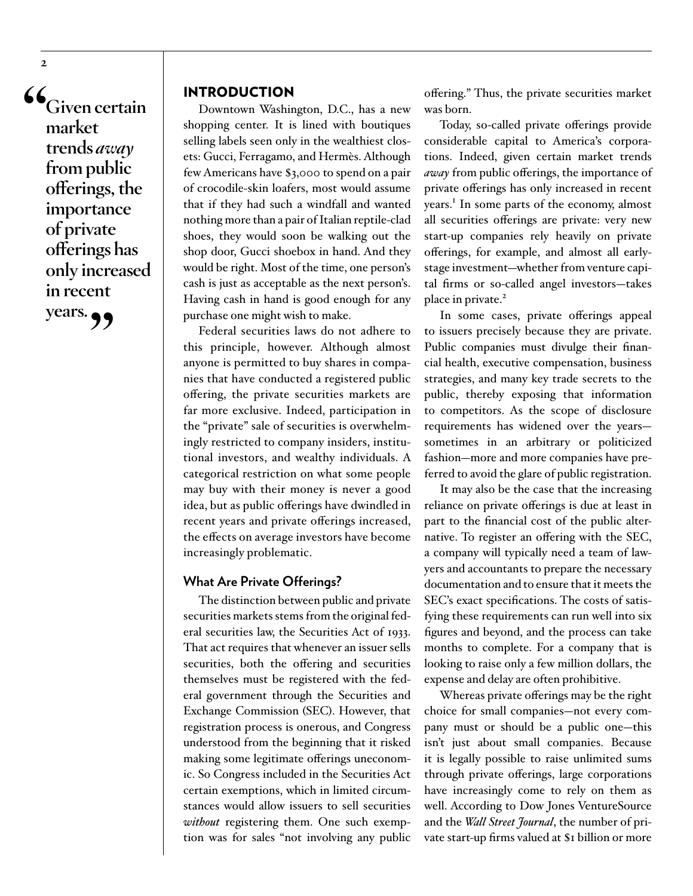**"Given certain market trends** *away* **from public offerings, the importance of private offerings has only increased in recent years."**

**2**

# INTRODUCTION

Downtown Washington, D.C., has a new shopping center. It is lined with boutiques selling labels seen only in the wealthiest closets: Gucci, Ferragamo, and Hermès. Although few Americans have \$3,000 to spend on a pair of crocodile-skin loafers, most would assume that if they had such a windfall and wanted nothing more than a pair of Italian reptile-clad shoes, they would soon be walking out the shop door, Gucci shoebox in hand. And they would be right. Most of the time, one person's cash is just as acceptable as the next person's. Having cash in hand is good enough for any purchase one might wish to make.

Federal securities laws do not adhere to this principle, however. Although almost anyone is permitted to buy shares in companies that have conducted a registered public offering, the private securities markets are far more exclusive. Indeed, participation in the "private" sale of securities is overwhelmingly restricted to company insiders, institutional investors, and wealthy individuals. A categorical restriction on what some people may buy with their money is never a good idea, but as public offerings have dwindled in recent years and private offerings increased, the effects on average investors have become increasingly problematic.

#### **What Are Private Offerings?**

The distinction between public and private securities markets stems from the original federal securities law, the Securities Act of 1933. That act requires that whenever an issuer sells securities, both the offering and securities themselves must be registered with the federal government through the Securities and Exchange Commission (SEC). However, that registration process is onerous, and Congress understood from the beginning that it risked making some legitimate offerings uneconomic. So Congress included in the Securities Act certain exemptions, which in limited circumstances would allow issuers to sell securities *without* registering them. One such exemption was for sales "not involving any public

offering." Thus, the private securities market was born.

Today, so-called private offerings provide considerable capital to America's corporations. Indeed, given certain market trends *away* from public offerings, the importance of private offerings has only increased in recent years.<sup>[1](#page-22-0)</sup> In some parts of the economy, almost all securities offerings are private: very new start-up companies rely heavily on private offerings, for example, and almost all earlystage investment—whether from venture capital firms or so-called angel investors—takes place in private.<sup>[2](#page-22-1)</sup>

In some cases, private offerings appeal to issuers precisely because they are private. Public companies must divulge their financial health, executive compensation, business strategies, and many key trade secrets to the public, thereby exposing that information to competitors. As the scope of disclosure requirements has widened over the years sometimes in an arbitrary or politicized fashion—more and more companies have preferred to avoid the glare of public registration.

It may also be the case that the increasing reliance on private offerings is due at least in part to the financial cost of the public alternative. To register an offering with the SEC, a company will typically need a team of lawyers and accountants to prepare the necessary documentation and to ensure that it meets the SEC's exact specifications. The costs of satisfying these requirements can run well into six figures and beyond, and the process can take months to complete. For a company that is looking to raise only a few million dollars, the expense and delay are often prohibitive.

Whereas private offerings may be the right choice for small companies—not every company must or should be a public one—this isn't just about small companies. Because it is legally possible to raise unlimited sums through private offerings, large corporations have increasingly come to rely on them as well. According to Dow Jones VentureSource and the *Wall Street Journal*, the number of private start-up firms valued at \$1 billion or more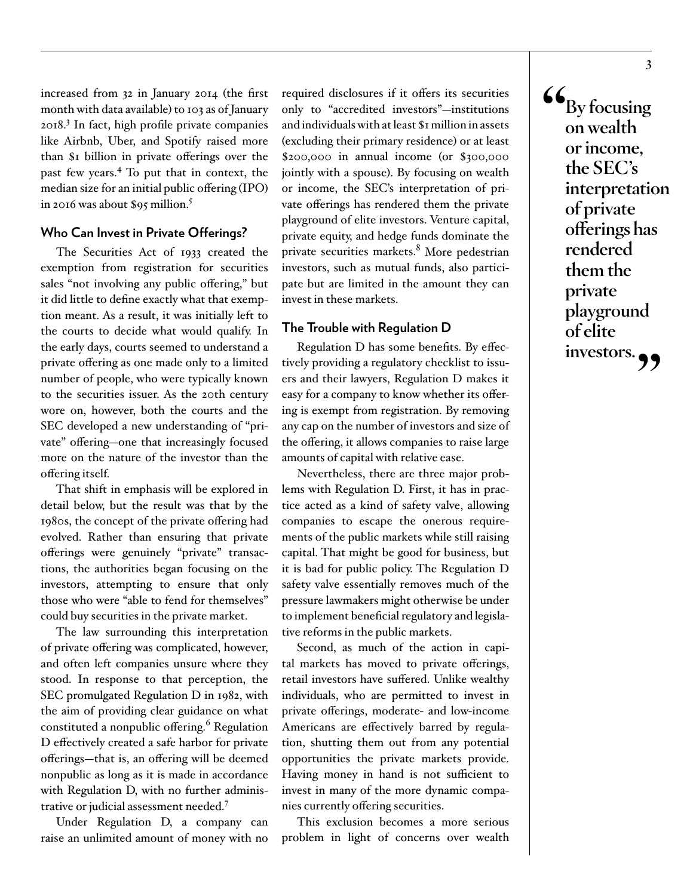increased from 32 in January 2014 (the first month with data available) to 103 as of January 2018.[3](#page-22-2) In fact, high profile private companies like Airbnb, Uber, and Spotify raised more than \$1 billion in private offerings over the past few years[.4](#page-22-3) To put that in context, the median size for an initial public offering (IPO) in 2016 was about \$95 million.[5](#page-22-4)

#### **Who Can Invest in Private Offerings?**

The Securities Act of 1933 created the exemption from registration for securities sales "not involving any public offering," but it did little to define exactly what that exemption meant. As a result, it was initially left to the courts to decide what would qualify. In the early days, courts seemed to understand a private offering as one made only to a limited number of people, who were typically known to the securities issuer. As the 20th century wore on, however, both the courts and the SEC developed a new understanding of "private" offering—one that increasingly focused more on the nature of the investor than the offering itself.

That shift in emphasis will be explored in detail below, but the result was that by the 1980s, the concept of the private offering had evolved. Rather than ensuring that private offerings were genuinely "private" transactions, the authorities began focusing on the investors, attempting to ensure that only those who were "able to fend for themselves" could buy securities in the private market.

The law surrounding this interpretation of private offering was complicated, however, and often left companies unsure where they stood. In response to that perception, the SEC promulgated Regulation D in 1982, with the aim of providing clear guidance on what constituted a nonpublic offering.<sup>[6](#page-22-5)</sup> Regulation D effectively created a safe harbor for private offerings—that is, an offering will be deemed nonpublic as long as it is made in accordance with Regulation D, with no further administrative or judicial assessment needed.[7](#page-22-6)

Under Regulation D, a company can raise an unlimited amount of money with no

required disclosures if it offers its securities only to "accredited investors"—institutions and individuals with at least \$1 million in assets (excluding their primary residence) or at least \$200,000 in annual income (or \$300,000 jointly with a spouse). By focusing on wealth or income, the SEC's interpretation of private offerings has rendered them the private playground of elite investors. Venture capital, private equity, and hedge funds dominate the private securities markets.<sup>[8](#page-22-7)</sup> More pedestrian investors, such as mutual funds, also participate but are limited in the amount they can invest in these markets.

## **The Trouble with Regulation D**

Regulation D has some benefits. By effectively providing a regulatory checklist to issuers and their lawyers, Regulation D makes it easy for a company to know whether its offering is exempt from registration. By removing any cap on the number of investors and size of the offering, it allows companies to raise large amounts of capital with relative ease.

Nevertheless, there are three major problems with Regulation D. First, it has in practice acted as a kind of safety valve, allowing companies to escape the onerous requirements of the public markets while still raising capital. That might be good for business, but it is bad for public policy. The Regulation D safety valve essentially removes much of the pressure lawmakers might otherwise be under to implement beneficial regulatory and legislative reforms in the public markets.

Second, as much of the action in capital markets has moved to private offerings, retail investors have suffered. Unlike wealthy individuals, who are permitted to invest in private offerings, moderate- and low-income Americans are effectively barred by regulation, shutting them out from any potential opportunities the private markets provide. Having money in hand is not sufficient to invest in many of the more dynamic companies currently offering securities.

This exclusion becomes a more serious problem in light of concerns over wealth **"By focusing on wealth or income, the SEC's interpretation of private offerings has rendered them the private playground of elite**  investors.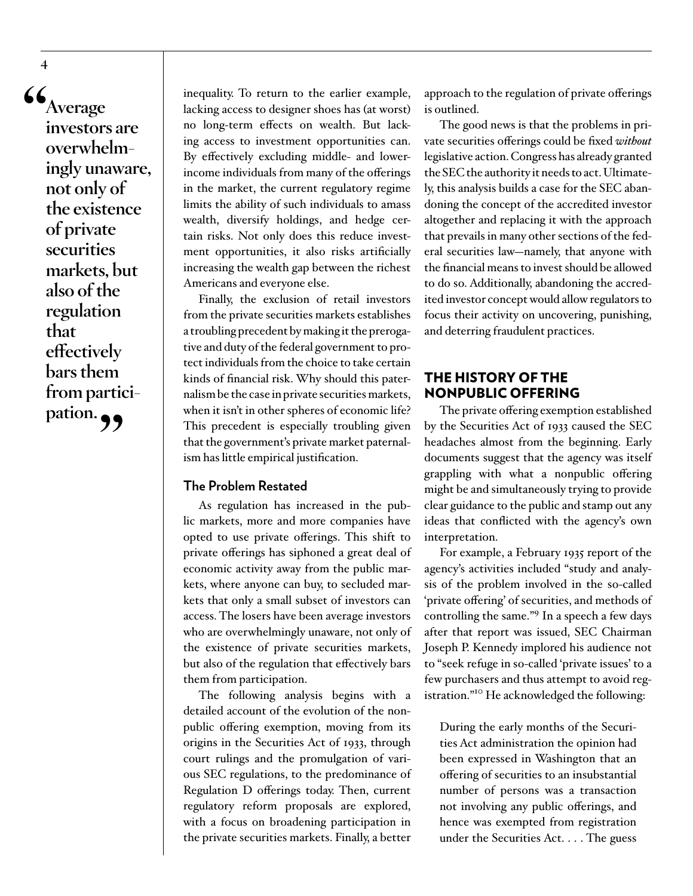**"Average investors are overwhelmingly unaware, not only of the existence of private securities markets, but also of the regulation that effectively bars them from partici**pation. 99

inequality. To return to the earlier example, lacking access to designer shoes has (at worst) no long-term effects on wealth. But lacking access to investment opportunities can. By effectively excluding middle- and lowerincome individuals from many of the offerings in the market, the current regulatory regime limits the ability of such individuals to amass wealth, diversify holdings, and hedge certain risks. Not only does this reduce investment opportunities, it also risks artificially increasing the wealth gap between the richest Americans and everyone else.

Finally, the exclusion of retail investors from the private securities markets establishes a troubling precedent by making it the prerogative and duty of the federal government to protect individuals from the choice to take certain kinds of financial risk. Why should this paternalism be the case in private securities markets, when it isn't in other spheres of economic life? This precedent is especially troubling given that the government's private market paternalism has little empirical justification.

## **The Problem Restated**

As regulation has increased in the public markets, more and more companies have opted to use private offerings. This shift to private offerings has siphoned a great deal of economic activity away from the public markets, where anyone can buy, to secluded markets that only a small subset of investors can access. The losers have been average investors who are overwhelmingly unaware, not only of the existence of private securities markets, but also of the regulation that effectively bars them from participation.

The following analysis begins with a detailed account of the evolution of the nonpublic offering exemption, moving from its origins in the Securities Act of 1933, through court rulings and the promulgation of various SEC regulations, to the predominance of Regulation D offerings today. Then, current regulatory reform proposals are explored, with a focus on broadening participation in the private securities markets. Finally, a better

approach to the regulation of private offerings is outlined.

The good news is that the problems in private securities offerings could be fixed *without* legislative action. Congress has already granted the SEC the authority it needs to act. Ultimately, this analysis builds a case for the SEC abandoning the concept of the accredited investor altogether and replacing it with the approach that prevails in many other sections of the federal securities law—namely, that anyone with the financial means to invest should be allowed to do so. Additionally, abandoning the accredited investor concept would allow regulators to focus their activity on uncovering, punishing, and deterring fraudulent practices.

# THE HISTORY OF THE NONPUBLIC OFFERING

The private offering exemption established by the Securities Act of 1933 caused the SEC headaches almost from the beginning. Early documents suggest that the agency was itself grappling with what a nonpublic offering might be and simultaneously trying to provide clear guidance to the public and stamp out any ideas that conflicted with the agency's own interpretation.

For example, a February 1935 report of the agency's activities included "study and analysis of the problem involved in the so-called 'private offering' of securities, and methods of controlling the same."[9](#page-22-8) In a speech a few days after that report was issued, SEC Chairman Joseph P. Kennedy implored his audience not to "seek refuge in so-called 'private issues' to a few purchasers and thus attempt to avoid registration.["10](#page-22-9) He acknowledged the following:

During the early months of the Securities Act administration the opinion had been expressed in Washington that an offering of securities to an insubstantial number of persons was a transaction not involving any public offerings, and hence was exempted from registration under the Securities Act. . . . The guess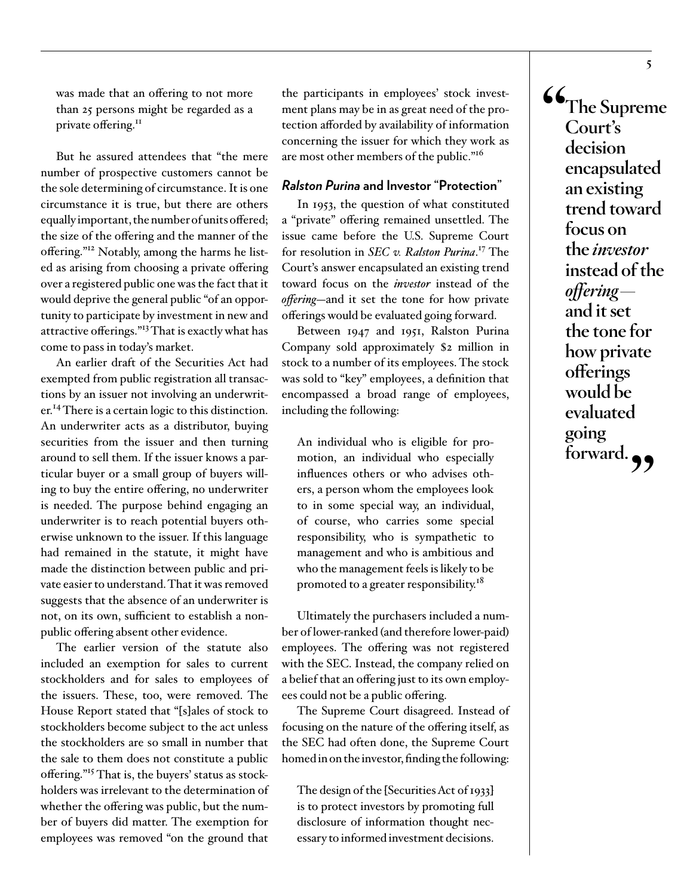was made that an offering to not more than 25 persons might be regarded as a private offering.<sup>11</sup>

But he assured attendees that "the mere number of prospective customers cannot be the sole determining of circumstance. It is one circumstance it is true, but there are others equally important, the number of units offered; the size of the offering and the manner of the offering."[12](#page-22-11) Notably, among the harms he listed as arising from choosing a private offering over a registered public one was the fact that it would deprive the general public "of an opportunity to participate by investment in new and attractive offerings."[13](#page-22-12) That is exactly what has come to pass in today's market.

An earlier draft of the Securities Act had exempted from public registration all transactions by an issuer not involving an underwriter.<sup>14</sup> There is a certain logic to this distinction. An underwriter acts as a distributor, buying securities from the issuer and then turning around to sell them. If the issuer knows a particular buyer or a small group of buyers willing to buy the entire offering, no underwriter is needed. The purpose behind engaging an underwriter is to reach potential buyers otherwise unknown to the issuer. If this language had remained in the statute, it might have made the distinction between public and private easier to understand. That it was removed suggests that the absence of an underwriter is not, on its own, sufficient to establish a nonpublic offering absent other evidence.

The earlier version of the statute also included an exemption for sales to current stockholders and for sales to employees of the issuers. These, too, were removed. The House Report stated that "[s]ales of stock to stockholders become subject to the act unless the stockholders are so small in number that the sale to them does not constitute a public offering."[15](#page-22-14) That is, the buyers' status as stockholders was irrelevant to the determination of whether the offering was public, but the number of buyers did matter. The exemption for employees was removed "on the ground that

the participants in employees' stock investment plans may be in as great need of the protection afforded by availability of information concerning the issuer for which they work as are most other members of the public."<sup>16</sup>

## *Ralston Purina* **and Investor "Protection"**

In 1953, the question of what constituted a "private" offering remained unsettled. The issue came before the U.S. Supreme Court for resolution in *SEC v. Ralston Purina*. [17](#page-22-16) The Court's answer encapsulated an existing trend toward focus on the *investor* instead of the *offering*—and it set the tone for how private offerings would be evaluated going forward.

Between 1947 and 1951, Ralston Purina Company sold approximately \$2 million in stock to a number of its employees. The stock was sold to "key" employees, a definition that encompassed a broad range of employees, including the following:

An individual who is eligible for promotion, an individual who especially influences others or who advises others, a person whom the employees look to in some special way, an individual, of course, who carries some special responsibility, who is sympathetic to management and who is ambitious and who the management feels is likely to be promoted to a greater responsibility.<sup>[18](#page-22-17)</sup>

Ultimately the purchasers included a number of lower-ranked (and therefore lower-paid) employees. The offering was not registered with the SEC. Instead, the company relied on a belief that an offering just to its own employees could not be a public offering.

The Supreme Court disagreed. Instead of focusing on the nature of the offering itself, as the SEC had often done, the Supreme Court homed in on the investor, finding the following:

The design of the [Securities Act of 1933] is to protect investors by promoting full disclosure of information thought necessary to informed investment decisions.

**"The Supreme Court's decision encapsulated an existing trend toward focus on the** *investor* **instead of the**  *offering* **and it set the tone for how private offerings would be evaluated going**  forward.<sub>?</sub>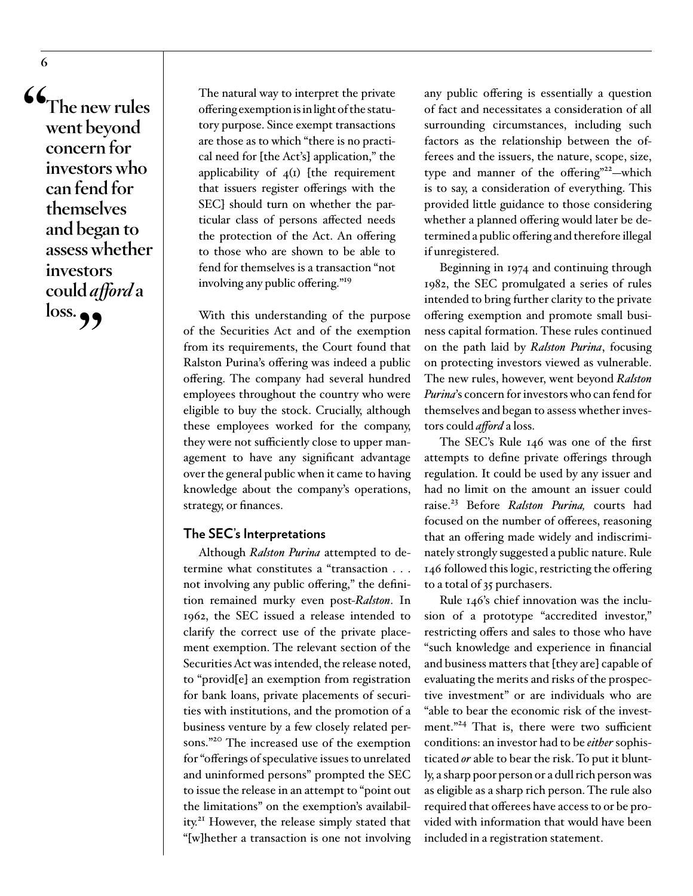**"The new rules went beyond concern for investors who can fend for themselves and began to assess whether investors could** *afford* **a**  loss. **99** 

The natural way to interpret the private offering exemption is in light of the statutory purpose. Since exempt transactions are those as to which "there is no practical need for [the Act's] application," the applicability of  $4(I)$  [the requirement that issuers register offerings with the SEC] should turn on whether the particular class of persons affected needs the protection of the Act. An offering to those who are shown to be able to fend for themselves is a transaction "not involving any public offering."[19](#page-22-18)

With this understanding of the purpose of the Securities Act and of the exemption from its requirements, the Court found that Ralston Purina's offering was indeed a public offering. The company had several hundred employees throughout the country who were eligible to buy the stock. Crucially, although these employees worked for the company, they were not sufficiently close to upper management to have any significant advantage over the general public when it came to having knowledge about the company's operations, strategy, or finances.

#### **The SEC's Interpretations**

Although *Ralston Purina* attempted to determine what constitutes a "transaction . . . not involving any public offering," the definition remained murky even post-*Ralston*. In 1962, the SEC issued a release intended to clarify the correct use of the private placement exemption. The relevant section of the Securities Act was intended, the release noted, to "provid[e] an exemption from registration for bank loans, private placements of securities with institutions, and the promotion of a business venture by a few closely related persons."[20](#page-23-0) The increased use of the exemption for "offerings of speculative issues to unrelated and uninformed persons" prompted the SEC to issue the release in an attempt to "point out the limitations" on the exemption's availability.[21](#page-23-1) However, the release simply stated that "[w]hether a transaction is one not involving

any public offering is essentially a question of fact and necessitates a consideration of all surrounding circumstances, including such factors as the relationship between the offerees and the issuers, the nature, scope, size, type and manner of the offering"<sup>22</sup>-which is to say, a consideration of everything. This provided little guidance to those considering whether a planned offering would later be determined a public offering and therefore illegal if unregistered.

Beginning in 1974 and continuing through 1982, the SEC promulgated a series of rules intended to bring further clarity to the private offering exemption and promote small business capital formation. These rules continued on the path laid by *Ralston Purina*, focusing on protecting investors viewed as vulnerable. The new rules, however, went beyond *Ralston Purina*'s concern for investors who can fend for themselves and began to assess whether investors could *afford* a loss.

The SEC's Rule 146 was one of the first attempts to define private offerings through regulation. It could be used by any issuer and had no limit on the amount an issuer could raise.[23](#page-23-3) Before *Ralston Purina,* courts had focused on the number of offerees, reasoning that an offering made widely and indiscriminately strongly suggested a public nature. Rule 146 followed this logic, restricting the offering to a total of 35 purchasers.

Rule 146's chief innovation was the inclusion of a prototype "accredited investor," restricting offers and sales to those who have "such knowledge and experience in financial and business matters that [they are] capable of evaluating the merits and risks of the prospective investment" or are individuals who are "able to bear the economic risk of the investment."<sup>24</sup> That is, there were two sufficient conditions: an investor had to be *either* sophisticated *or* able to bear the risk. To put it bluntly, a sharp poor person or a dull rich person was as eligible as a sharp rich person. The rule also required that offerees have access to or be provided with information that would have been included in a registration statement.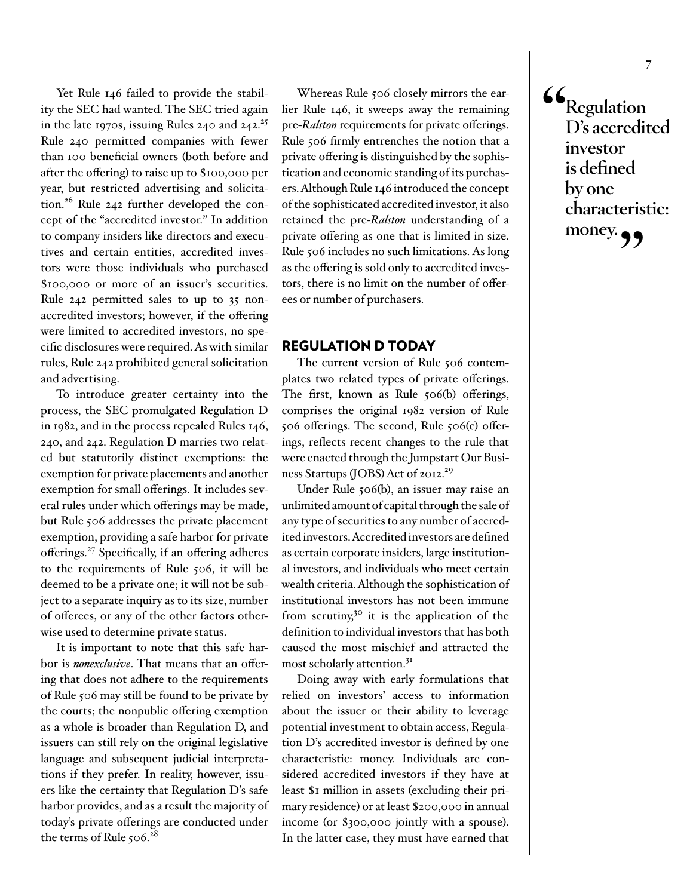Yet Rule 146 failed to provide the stability the SEC had wanted. The SEC tried again in the late 1970s, issuing Rules 240 and  $242.^{25}$  $242.^{25}$  $242.^{25}$ Rule 240 permitted companies with fewer than 100 beneficial owners (both before and after the offering) to raise up to \$100,000 per year, but restricted advertising and solicitation.<sup>26</sup> Rule 242 further developed the concept of the "accredited investor." In addition to company insiders like directors and executives and certain entities, accredited investors were those individuals who purchased \$100,000 or more of an issuer's securities. Rule 242 permitted sales to up to 35 nonaccredited investors; however, if the offering were limited to accredited investors, no specific disclosures were required. As with similar rules, Rule 242 prohibited general solicitation and advertising.

To introduce greater certainty into the process, the SEC promulgated Regulation D in 1982, and in the process repealed Rules 146, 240, and 242. Regulation D marries two related but statutorily distinct exemptions: the exemption for private placements and another exemption for small offerings. It includes several rules under which offerings may be made, but Rule 506 addresses the private placement exemption, providing a safe harbor for private offerings[.27](#page-23-7) Specifically, if an offering adheres to the requirements of Rule 506, it will be deemed to be a private one; it will not be subject to a separate inquiry as to its size, number of offerees, or any of the other factors otherwise used to determine private status.

It is important to note that this safe harbor is *nonexclusive*. That means that an offering that does not adhere to the requirements of Rule 506 may still be found to be private by the courts; the nonpublic offering exemption as a whole is broader than Regulation D, and issuers can still rely on the original legislative language and subsequent judicial interpretations if they prefer. In reality, however, issuers like the certainty that Regulation D's safe harbor provides, and as a result the majority of today's private offerings are conducted under the terms of Rule  $506.^{28}$  $506.^{28}$  $506.^{28}$ 

Whereas Rule 506 closely mirrors the earlier Rule 146, it sweeps away the remaining pre-*Ralston* requirements for private offerings. Rule 506 firmly entrenches the notion that a private offering is distinguished by the sophistication and economic standing of its purchasers. Although Rule 146 introduced the concept of the sophisticated accredited investor, it also retained the pre-*Ralston* understanding of a private offering as one that is limited in size. Rule 506 includes no such limitations. As long as the offering is sold only to accredited investors, there is no limit on the number of offerees or number of purchasers.

# REGULATION D TODAY

The current version of Rule 506 contemplates two related types of private offerings. The first, known as Rule 506(b) offerings, comprises the original 1982 version of Rule 506 offerings. The second, Rule 506(c) offerings, reflects recent changes to the rule that were enacted through the Jumpstart Our Busi-ness Startups (JOBS) Act of 2012.<sup>[29](#page-23-9)</sup>

Under Rule 506(b), an issuer may raise an unlimited amount of capital through the sale of any type of securities to any number of accredited investors. Accredited investors are defined as certain corporate insiders, large institutional investors, and individuals who meet certain wealth criteria. Although the sophistication of institutional investors has not been immune from scrutiny,<sup>30</sup> it is the application of the definition to individual investors that has both caused the most mischief and attracted the most scholarly attention.[31](#page-23-11)

Doing away with early formulations that relied on investors' access to information about the issuer or their ability to leverage potential investment to obtain access, Regulation D's accredited investor is defined by one characteristic: money. Individuals are considered accredited investors if they have at least \$1 million in assets (excluding their primary residence) or at least \$200,000 in annual income (or \$300,000 jointly with a spouse). In the latter case, they must have earned that **"Regulation D's accredited investor is defined by one characteristic:**  money.  $\bullet \bullet$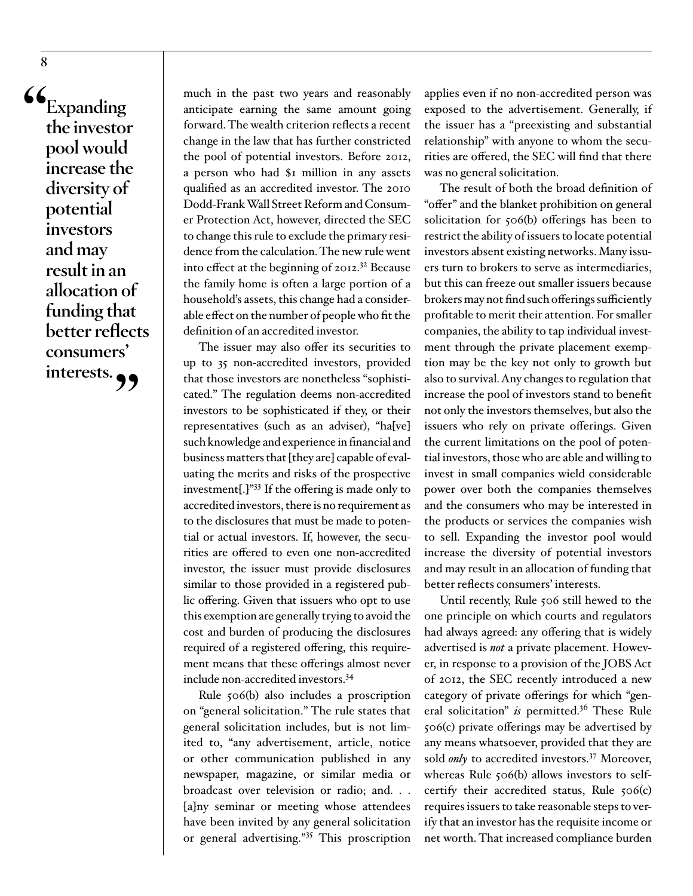**"Expanding the investor pool would increase the diversity of potential investors and may result in an allocation of funding that better reflects consumers'**  interests.<sub>99</sub>

much in the past two years and reasonably anticipate earning the same amount going forward. The wealth criterion reflects a recent change in the law that has further constricted the pool of potential investors. Before 2012, a person who had \$1 million in any assets qualified as an accredited investor. The 2010 Dodd-Frank Wall Street Reform and Consumer Protection Act, however, directed the SEC to change this rule to exclude the primary residence from the calculation. The new rule went into effect at the beginning of  $2012$ <sup>32</sup> Because the family home is often a large portion of a household's assets, this change had a considerable effect on the number of people who fit the definition of an accredited investor.

The issuer may also offer its securities to up to 35 non-accredited investors, provided that those investors are nonetheless "sophisticated." The regulation deems non-accredited investors to be sophisticated if they, or their representatives (such as an adviser), "ha[ve] such knowledge and experience in financial and business matters that [they are] capable of evaluating the merits and risks of the prospective investment[.]["33](#page-23-13) If the offering is made only to accredited investors, there is no requirement as to the disclosures that must be made to potential or actual investors. If, however, the securities are offered to even one non-accredited investor, the issuer must provide disclosures similar to those provided in a registered public offering. Given that issuers who opt to use this exemption are generally trying to avoid the cost and burden of producing the disclosures required of a registered offering, this requirement means that these offerings almost never include non-accredited investors[.34](#page-23-14)

Rule 506(b) also includes a proscription on "general solicitation." The rule states that general solicitation includes, but is not limited to, "any advertisement, article, notice or other communication published in any newspaper, magazine, or similar media or broadcast over television or radio; and. . . [a]ny seminar or meeting whose attendees have been invited by any general solicitation or general advertising."[35](#page-23-15) This proscription

applies even if no non-accredited person was exposed to the advertisement. Generally, if the issuer has a "preexisting and substantial relationship" with anyone to whom the securities are offered, the SEC will find that there was no general solicitation.

The result of both the broad definition of "offer" and the blanket prohibition on general solicitation for 506(b) offerings has been to restrict the ability of issuers to locate potential investors absent existing networks. Many issuers turn to brokers to serve as intermediaries, but this can freeze out smaller issuers because brokers may not find such offerings sufficiently profitable to merit their attention. For smaller companies, the ability to tap individual investment through the private placement exemption may be the key not only to growth but also to survival. Any changes to regulation that increase the pool of investors stand to benefit not only the investors themselves, but also the issuers who rely on private offerings. Given the current limitations on the pool of potential investors, those who are able and willing to invest in small companies wield considerable power over both the companies themselves and the consumers who may be interested in the products or services the companies wish to sell. Expanding the investor pool would increase the diversity of potential investors and may result in an allocation of funding that better reflects consumers' interests.

Until recently, Rule 506 still hewed to the one principle on which courts and regulators had always agreed: any offering that is widely advertised is *not* a private placement. However, in response to a provision of the JOBS Act of 2012, the SEC recently introduced a new category of private offerings for which "general solicitation" *is* permitted.<sup>36</sup> These Rule 506(c) private offerings may be advertised by any means whatsoever, provided that they are sold *only* to accredited investors.<sup>[37](#page-23-17)</sup> Moreover, whereas Rule 506(b) allows investors to selfcertify their accredited status, Rule 506(c) requires issuers to take reasonable steps to verify that an investor has the requisite income or net worth. That increased compliance burden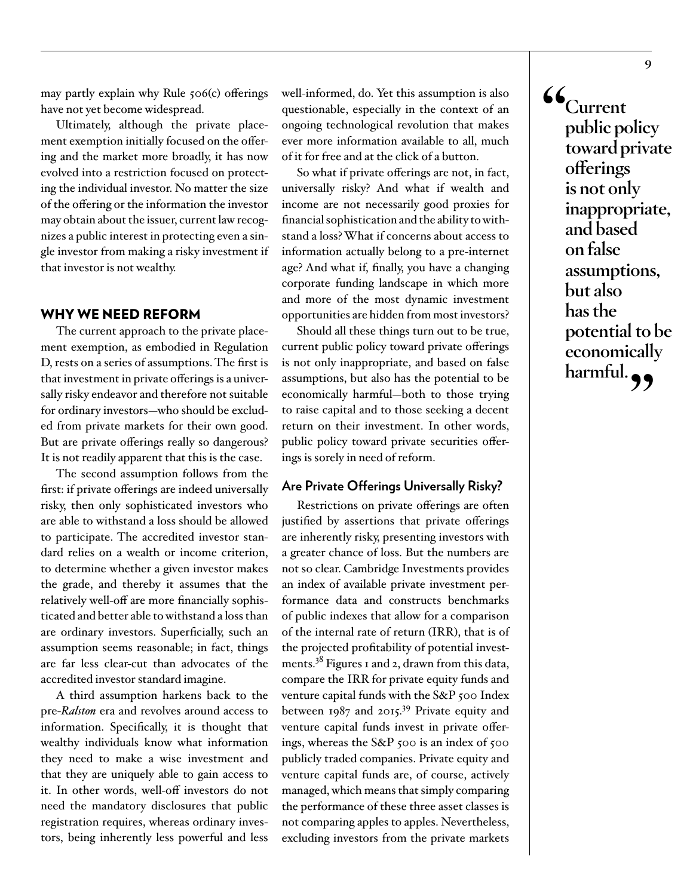may partly explain why Rule 506(c) offerings have not yet become widespread.

Ultimately, although the private placement exemption initially focused on the offering and the market more broadly, it has now evolved into a restriction focused on protecting the individual investor. No matter the size of the offering or the information the investor may obtain about the issuer, current law recognizes a public interest in protecting even a single investor from making a risky investment if that investor is not wealthy.

#### WHY WE NEED REFORM

The current approach to the private placement exemption, as embodied in Regulation D, rests on a series of assumptions. The first is that investment in private offerings is a universally risky endeavor and therefore not suitable for ordinary investors—who should be excluded from private markets for their own good. But are private offerings really so dangerous? It is not readily apparent that this is the case.

The second assumption follows from the first: if private offerings are indeed universally risky, then only sophisticated investors who are able to withstand a loss should be allowed to participate. The accredited investor standard relies on a wealth or income criterion, to determine whether a given investor makes the grade, and thereby it assumes that the relatively well-off are more financially sophisticated and better able to withstand a loss than are ordinary investors. Superficially, such an assumption seems reasonable; in fact, things are far less clear-cut than advocates of the accredited investor standard imagine.

A third assumption harkens back to the pre-*Ralston* era and revolves around access to information. Specifically, it is thought that wealthy individuals know what information they need to make a wise investment and that they are uniquely able to gain access to it. In other words, well-off investors do not need the mandatory disclosures that public registration requires, whereas ordinary investors, being inherently less powerful and less

well-informed, do. Yet this assumption is also questionable, especially in the context of an ongoing technological revolution that makes ever more information available to all, much of it for free and at the click of a button.

So what if private offerings are not, in fact, universally risky? And what if wealth and income are not necessarily good proxies for financial sophistication and the ability to withstand a loss? What if concerns about access to information actually belong to a pre-internet age? And what if, finally, you have a changing corporate funding landscape in which more and more of the most dynamic investment opportunities are hidden from most investors?

Should all these things turn out to be true, current public policy toward private offerings is not only inappropriate, and based on false assumptions, but also has the potential to be economically harmful—both to those trying to raise capital and to those seeking a decent return on their investment. In other words, public policy toward private securities offerings is sorely in need of reform.

#### **Are Private Offerings Universally Risky?**

Restrictions on private offerings are often justified by assertions that private offerings are inherently risky, presenting investors with a greater chance of loss. But the numbers are not so clear. Cambridge Investments provides an index of available private investment performance data and constructs benchmarks of public indexes that allow for a comparison of the internal rate of return (IRR), that is of the projected profitability of potential investments.<sup>38</sup> Figures 1 and 2, drawn from this data, compare the IRR for private equity funds and venture capital funds with the S&P 500 Index between 1987 and 2015.<sup>39</sup> Private equity and venture capital funds invest in private offerings, whereas the S&P 500 is an index of 500 publicly traded companies. Private equity and venture capital funds are, of course, actively managed, which means that simply comparing the performance of these three asset classes is not comparing apples to apples. Nevertheless, excluding investors from the private markets

**"Current public policy toward private offerings is not only inappropriate, and based on false assumptions, but also has the potential to be economically harmful."**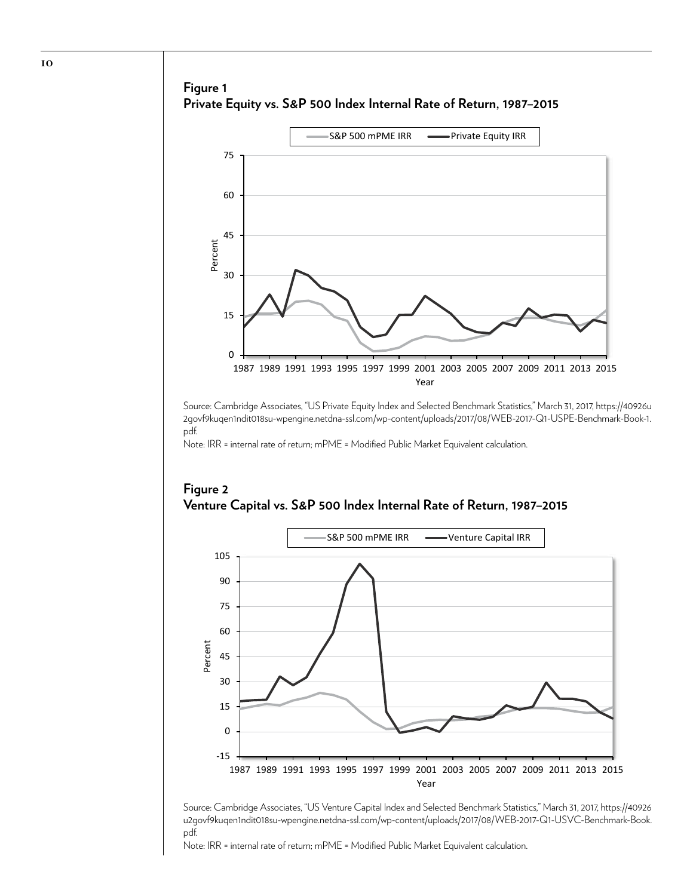# **Figure 1 Private Equity vs. S&P 500 Index Internal Rate of Return, 1987–2015**



Source: Cambridge Associates, "US Private Equity Index and Selected Benchmark Statistics," March 31, 2017, [https://40926u](https://40926u2govf9kuqen1ndit018su-wpengine.netdna-ssl.com/wp-content/uploads/2017/08/WEB-2017-Q1-USPE-Benchmark-Book-1.pdf) [2govf9kuqen1ndit018su-wpengine.netdna-ssl.com/wp-content/uploads/2017/08/WEB-2017-Q1-USPE-Benchmark-Book-1.](https://40926u2govf9kuqen1ndit018su-wpengine.netdna-ssl.com/wp-content/uploads/2017/08/WEB-2017-Q1-USPE-Benchmark-Book-1.pdf) [pdf.](https://40926u2govf9kuqen1ndit018su-wpengine.netdna-ssl.com/wp-content/uploads/2017/08/WEB-2017-Q1-USPE-Benchmark-Book-1.pdf)

Note: IRR = internal rate of return; mPME = Modified Public Market Equivalent calculation.



**Figure 2 Venture Capital vs. S&P 500 Index Internal Rate of Return, 1987–2015**

Source: Cambridge Associates, "US Venture Capital Index and Selected Benchmark Statistics," March 31, 2017, [https://40926](https://40926u2govf9kuqen1ndit018su-wpengine.netdna-ssl.com/wp-content/uploads/2017/08/WEB-2017-Q1-USVC-Benchmark-Book.pdf) [u2govf9kuqen1ndit018su-wpengine.netdna-ssl.com/wp-content/uploads/2017/08/WEB-2017-Q1-USVC-Benchmark-Book.](https://40926u2govf9kuqen1ndit018su-wpengine.netdna-ssl.com/wp-content/uploads/2017/08/WEB-2017-Q1-USVC-Benchmark-Book.pdf) [pdf.](https://40926u2govf9kuqen1ndit018su-wpengine.netdna-ssl.com/wp-content/uploads/2017/08/WEB-2017-Q1-USVC-Benchmark-Book.pdf)

Note: IRR = internal rate of return; mPME = Modified Public Market Equivalent calculation.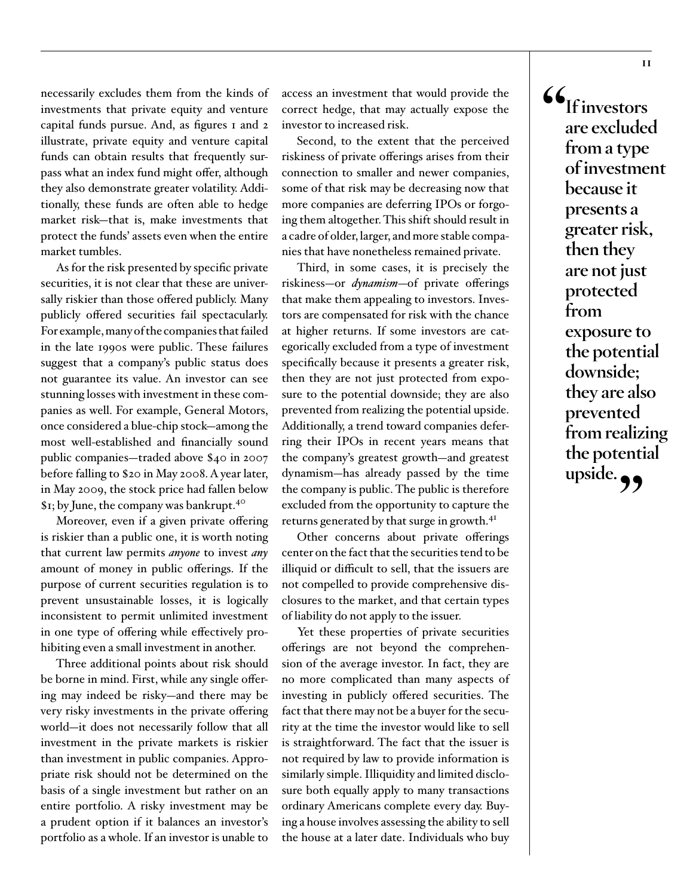necessarily excludes them from the kinds of investments that private equity and venture capital funds pursue. And, as figures 1 and 2 illustrate, private equity and venture capital funds can obtain results that frequently surpass what an index fund might offer, although they also demonstrate greater volatility. Additionally, these funds are often able to hedge market risk—that is, make investments that protect the funds' assets even when the entire market tumbles.

As for the risk presented by specific private securities, it is not clear that these are universally riskier than those offered publicly. Many publicly offered securities fail spectacularly. For example, many of the companies that failed in the late 1990s were public. These failures suggest that a company's public status does not guarantee its value. An investor can see stunning losses with investment in these companies as well. For example, General Motors, once considered a blue-chip stock—among the most well-established and financially sound public companies—traded above \$40 in 2007 before falling to \$20 in May 2008. A year later, in May 2009, the stock price had fallen below \$1; by June, the company was bankrupt[.40](#page-24-0)

Moreover, even if a given private offering is riskier than a public one, it is worth noting that current law permits *anyone* to invest *any* amount of money in public offerings. If the purpose of current securities regulation is to prevent unsustainable losses, it is logically inconsistent to permit unlimited investment in one type of offering while effectively prohibiting even a small investment in another.

Three additional points about risk should be borne in mind. First, while any single offering may indeed be risky—and there may be very risky investments in the private offering world—it does not necessarily follow that all investment in the private markets is riskier than investment in public companies. Appropriate risk should not be determined on the basis of a single investment but rather on an entire portfolio. A risky investment may be a prudent option if it balances an investor's portfolio as a whole. If an investor is unable to

access an investment that would provide the correct hedge, that may actually expose the investor to increased risk.

Second, to the extent that the perceived riskiness of private offerings arises from their connection to smaller and newer companies, some of that risk may be decreasing now that more companies are deferring IPOs or forgoing them altogether. This shift should result in a cadre of older, larger, and more stable companies that have nonetheless remained private.

Third, in some cases, it is precisely the riskiness—or *dynamism*—of private offerings that make them appealing to investors. Investors are compensated for risk with the chance at higher returns. If some investors are categorically excluded from a type of investment specifically because it presents a greater risk, then they are not just protected from exposure to the potential downside; they are also prevented from realizing the potential upside. Additionally, a trend toward companies deferring their IPOs in recent years means that the company's greatest growth—and greatest dynamism—has already passed by the time the company is public. The public is therefore excluded from the opportunity to capture the returns generated by that surge in growth.<sup>[41](#page-24-1)</sup>

Other concerns about private offerings center on the fact that the securities tend to be illiquid or difficult to sell, that the issuers are not compelled to provide comprehensive disclosures to the market, and that certain types of liability do not apply to the issuer.

Yet these properties of private securities offerings are not beyond the comprehension of the average investor. In fact, they are no more complicated than many aspects of investing in publicly offered securities. The fact that there may not be a buyer for the security at the time the investor would like to sell is straightforward. The fact that the issuer is not required by law to provide information is similarly simple. Illiquidity and limited disclosure both equally apply to many transactions ordinary Americans complete every day. Buying a house involves assessing the ability to sell the house at a later date. Individuals who buy

**"If investors are excluded from a type of investment because it presents a greater risk, then they are not just protected from exposure to the potential downside; they are also prevented from realizing the potential**  upside.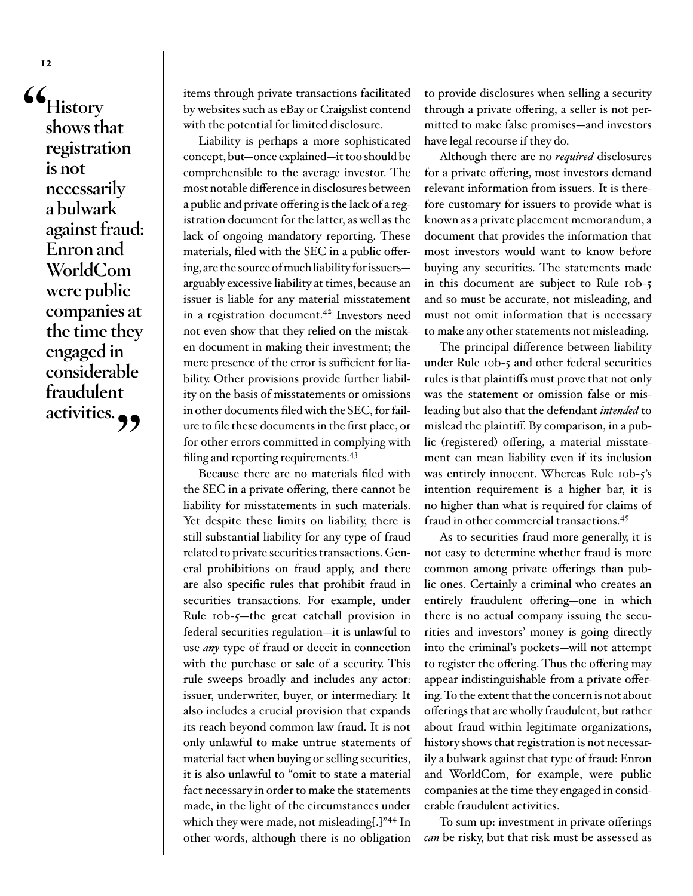**"History shows that registration is not necessarily a bulwark against fraud: Enron and WorldCom were public companies at the time they engaged in considerable fraudulent activities."**

items through private transactions facilitated by websites such as eBay or Craigslist contend with the potential for limited disclosure.

Liability is perhaps a more sophisticated concept, but—once explained—it too should be comprehensible to the average investor. The most notable difference in disclosures between a public and private offering is the lack of a registration document for the latter, as well as the lack of ongoing mandatory reporting. These materials, filed with the SEC in a public offering, are the source of much liability for issuers arguably excessive liability at times, because an issuer is liable for any material misstatement in a registration document.<sup>42</sup> Investors need not even show that they relied on the mistaken document in making their investment; the mere presence of the error is sufficient for liability. Other provisions provide further liability on the basis of misstatements or omissions in other documents filed with the SEC, for failure to file these documents in the first place, or for other errors committed in complying with filing and reporting requirements.<sup>[43](#page-24-3)</sup>

Because there are no materials filed with the SEC in a private offering, there cannot be liability for misstatements in such materials. Yet despite these limits on liability, there is still substantial liability for any type of fraud related to private securities transactions. General prohibitions on fraud apply, and there are also specific rules that prohibit fraud in securities transactions. For example, under Rule 10b-5—the great catchall provision in federal securities regulation—it is unlawful to use *any* type of fraud or deceit in connection with the purchase or sale of a security. This rule sweeps broadly and includes any actor: issuer, underwriter, buyer, or intermediary. It also includes a crucial provision that expands its reach beyond common law fraud. It is not only unlawful to make untrue statements of material fact when buying or selling securities, it is also unlawful to "omit to state a material fact necessary in order to make the statements made, in the light of the circumstances under which they were made, not misleading[.]"[44](#page-24-4) In other words, although there is no obligation

to provide disclosures when selling a security through a private offering, a seller is not permitted to make false promises—and investors have legal recourse if they do.

Although there are no *required* disclosures for a private offering, most investors demand relevant information from issuers. It is therefore customary for issuers to provide what is known as a private placement memorandum, a document that provides the information that most investors would want to know before buying any securities. The statements made in this document are subject to Rule 10b-5 and so must be accurate, not misleading, and must not omit information that is necessary to make any other statements not misleading.

The principal difference between liability under Rule 10b-5 and other federal securities rules is that plaintiffs must prove that not only was the statement or omission false or misleading but also that the defendant *intended* to mislead the plaintiff. By comparison, in a public (registered) offering, a material misstatement can mean liability even if its inclusion was entirely innocent. Whereas Rule 10b-5's intention requirement is a higher bar, it is no higher than what is required for claims of fraud in other commercial transactions.[45](#page-24-5)

As to securities fraud more generally, it is not easy to determine whether fraud is more common among private offerings than public ones. Certainly a criminal who creates an entirely fraudulent offering—one in which there is no actual company issuing the securities and investors' money is going directly into the criminal's pockets—will not attempt to register the offering. Thus the offering may appear indistinguishable from a private offering. To the extent that the concern is not about offerings that are wholly fraudulent, but rather about fraud within legitimate organizations, history shows that registration is not necessarily a bulwark against that type of fraud: Enron and WorldCom, for example, were public companies at the time they engaged in considerable fraudulent activities.

To sum up: investment in private offerings *can* be risky, but that risk must be assessed as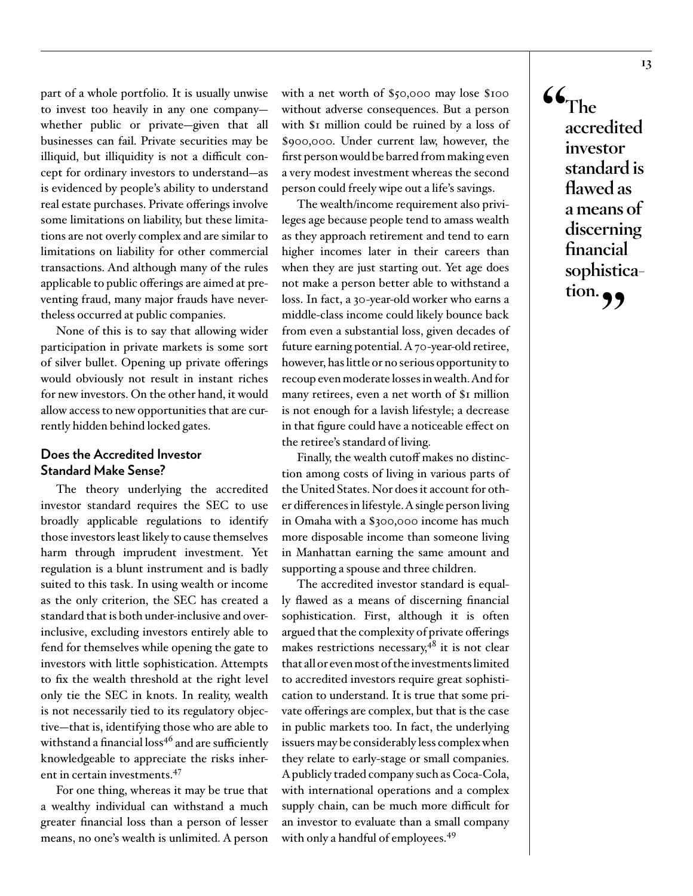part of a whole portfolio. It is usually unwise to invest too heavily in any one company whether public or private—given that all businesses can fail. Private securities may be illiquid, but illiquidity is not a difficult concept for ordinary investors to understand—as is evidenced by people's ability to understand real estate purchases. Private offerings involve some limitations on liability, but these limitations are not overly complex and are similar to limitations on liability for other commercial transactions. And although many of the rules applicable to public offerings are aimed at preventing fraud, many major frauds have nevertheless occurred at public companies.

None of this is to say that allowing wider participation in private markets is some sort of silver bullet. Opening up private offerings would obviously not result in instant riches for new investors. On the other hand, it would allow access to new opportunities that are currently hidden behind locked gates.

# **Does the Accredited Investor Standard Make Sense?**

The theory underlying the accredited investor standard requires the SEC to use broadly applicable regulations to identify those investors least likely to cause themselves harm through imprudent investment. Yet regulation is a blunt instrument and is badly suited to this task. In using wealth or income as the only criterion, the SEC has created a standard that is both under-inclusive and overinclusive, excluding investors entirely able to fend for themselves while opening the gate to investors with little sophistication. Attempts to fix the wealth threshold at the right level only tie the SEC in knots. In reality, wealth is not necessarily tied to its regulatory objective—that is, identifying those who are able to withstand a financial loss<sup>46</sup> and are sufficiently knowledgeable to appreciate the risks inherent in certain investments.[47](#page-24-7)

For one thing, whereas it may be true that a wealthy individual can withstand a much greater financial loss than a person of lesser means, no one's wealth is unlimited. A person

with a net worth of \$50,000 may lose \$100 without adverse consequences. But a person with \$1 million could be ruined by a loss of \$900,000. Under current law, however, the first person would be barred from making even a very modest investment whereas the second person could freely wipe out a life's savings.

The wealth/income requirement also privileges age because people tend to amass wealth as they approach retirement and tend to earn higher incomes later in their careers than when they are just starting out. Yet age does not make a person better able to withstand a loss. In fact, a 30-year-old worker who earns a middle-class income could likely bounce back from even a substantial loss, given decades of future earning potential. A 70-year-old retiree, however, has little or no serious opportunity to recoup even moderate losses in wealth. And for many retirees, even a net worth of \$1 million is not enough for a lavish lifestyle; a decrease in that figure could have a noticeable effect on the retiree's standard of living.

Finally, the wealth cutoff makes no distinction among costs of living in various parts of the United States. Nor does it account for other differences in lifestyle. A single person living in Omaha with a \$300,000 income has much more disposable income than someone living in Manhattan earning the same amount and supporting a spouse and three children.

The accredited investor standard is equally flawed as a means of discerning financial sophistication. First, although it is often argued that the complexity of private offerings makes restrictions necessary, $4^8$  it is not clear that all or even most of the investments limited to accredited investors require great sophistication to understand. It is true that some private offerings are complex, but that is the case in public markets too. In fact, the underlying issuers may be considerably less complex when they relate to early-stage or small companies. A publicly traded company such as Coca-Cola, with international operations and a complex supply chain, can be much more difficult for an investor to evaluate than a small company with only a handful of employees.<sup>[49](#page-24-9)</sup>

**"The accredited investor standard is flawed as a means of discerning financial sophistica**tion. **99**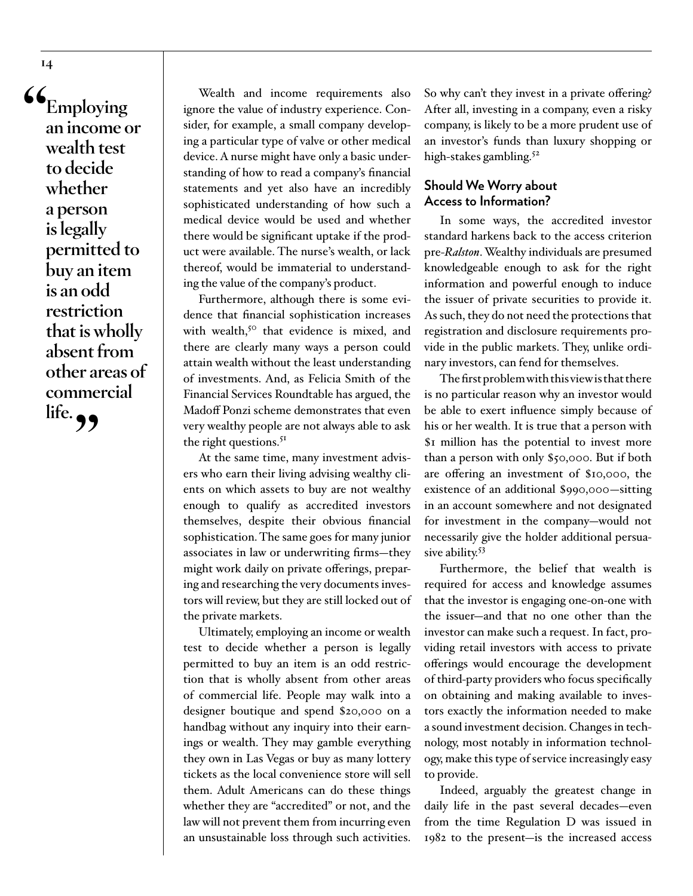**"Employing an income or wealth test to decide whether a person is legally permitted to buy an item is an odd restriction that is wholly absent from other areas of commercial**  life. **99** 

Wealth and income requirements also ignore the value of industry experience. Consider, for example, a small company developing a particular type of valve or other medical device. A nurse might have only a basic understanding of how to read a company's financial statements and yet also have an incredibly sophisticated understanding of how such a medical device would be used and whether there would be significant uptake if the product were available. The nurse's wealth, or lack thereof, would be immaterial to understanding the value of the company's product.

Furthermore, although there is some evidence that financial sophistication increases with wealth, $5^{\circ}$  that evidence is mixed, and there are clearly many ways a person could attain wealth without the least understanding of investments. And, as Felicia Smith of the Financial Services Roundtable has argued, the Madoff Ponzi scheme demonstrates that even very wealthy people are not always able to ask the right questions.<sup>51</sup>

At the same time, many investment advisers who earn their living advising wealthy clients on which assets to buy are not wealthy enough to qualify as accredited investors themselves, despite their obvious financial sophistication. The same goes for many junior associates in law or underwriting firms—they might work daily on private offerings, preparing and researching the very documents investors will review, but they are still locked out of the private markets.

Ultimately, employing an income or wealth test to decide whether a person is legally permitted to buy an item is an odd restriction that is wholly absent from other areas of commercial life. People may walk into a designer boutique and spend \$20,000 on a handbag without any inquiry into their earnings or wealth. They may gamble everything they own in Las Vegas or buy as many lottery tickets as the local convenience store will sell them. Adult Americans can do these things whether they are "accredited" or not, and the law will not prevent them from incurring even an unsustainable loss through such activities.

So why can't they invest in a private offering? After all, investing in a company, even a risky company, is likely to be a more prudent use of an investor's funds than luxury shopping or high-stakes gambling.<sup>[52](#page-24-12)</sup>

# **Should We Worry about Access to Information?**

In some ways, the accredited investor standard harkens back to the access criterion pre-*Ralston*. Wealthy individuals are presumed knowledgeable enough to ask for the right information and powerful enough to induce the issuer of private securities to provide it. As such, they do not need the protections that registration and disclosure requirements provide in the public markets. They, unlike ordinary investors, can fend for themselves.

The first problem with this view is that there is no particular reason why an investor would be able to exert influence simply because of his or her wealth. It is true that a person with \$1 million has the potential to invest more than a person with only \$50,000. But if both are offering an investment of \$10,000, the existence of an additional \$990,000—sitting in an account somewhere and not designated for investment in the company—would not necessarily give the holder additional persua-sive ability.<sup>[53](#page-24-13)</sup>

Furthermore, the belief that wealth is required for access and knowledge assumes that the investor is engaging one-on-one with the issuer—and that no one other than the investor can make such a request. In fact, providing retail investors with access to private offerings would encourage the development of third-party providers who focus specifically on obtaining and making available to investors exactly the information needed to make a sound investment decision. Changes in technology, most notably in information technology, make this type of service increasingly easy to provide.

Indeed, arguably the greatest change in daily life in the past several decades—even from the time Regulation D was issued in 1982 to the present—is the increased access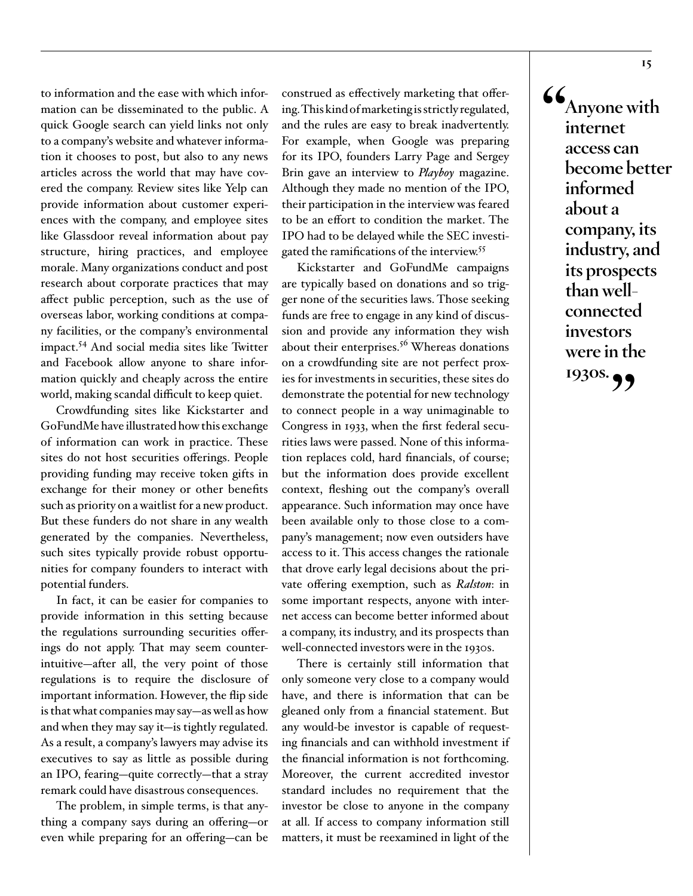to information and the ease with which information can be disseminated to the public. A quick Google search can yield links not only to a company's website and whatever information it chooses to post, but also to any news articles across the world that may have covered the company. Review sites like Yelp can provide information about customer experiences with the company, and employee sites like Glassdoor reveal information about pay structure, hiring practices, and employee morale. Many organizations conduct and post research about corporate practices that may affect public perception, such as the use of overseas labor, working conditions at company facilities, or the company's environmental impact[.54](#page-24-14) And social media sites like Twitter and Facebook allow anyone to share information quickly and cheaply across the entire world, making scandal difficult to keep quiet.

Crowdfunding sites like Kickstarter and GoFundMe have illustrated how this exchange of information can work in practice. These sites do not host securities offerings. People providing funding may receive token gifts in exchange for their money or other benefits such as priority on a waitlist for a new product. But these funders do not share in any wealth generated by the companies. Nevertheless, such sites typically provide robust opportunities for company founders to interact with potential funders.

In fact, it can be easier for companies to provide information in this setting because the regulations surrounding securities offerings do not apply. That may seem counterintuitive—after all, the very point of those regulations is to require the disclosure of important information. However, the flip side is that what companies may say—as well as how and when they may say it—is tightly regulated. As a result, a company's lawyers may advise its executives to say as little as possible during an IPO, fearing—quite correctly—that a stray remark could have disastrous consequences.

The problem, in simple terms, is that anything a company says during an offering—or even while preparing for an offering—can be

construed as effectively marketing that offering. This kind of marketing is strictly regulated, and the rules are easy to break inadvertently. For example, when Google was preparing for its IPO, founders Larry Page and Sergey Brin gave an interview to *Playboy* magazine. Although they made no mention of the IPO, their participation in the interview was feared to be an effort to condition the market. The IPO had to be delayed while the SEC investigated the ramifications of the interview.[55](#page-25-0)

Kickstarter and GoFundMe campaigns are typically based on donations and so trigger none of the securities laws. Those seeking funds are free to engage in any kind of discussion and provide any information they wish about their enterprises.<sup>56</sup> Whereas donations on a crowdfunding site are not perfect proxies for investments in securities, these sites do demonstrate the potential for new technology to connect people in a way unimaginable to Congress in 1933, when the first federal securities laws were passed. None of this information replaces cold, hard financials, of course; but the information does provide excellent context, fleshing out the company's overall appearance. Such information may once have been available only to those close to a company's management; now even outsiders have access to it. This access changes the rationale that drove early legal decisions about the private offering exemption, such as *Ralston*: in some important respects, anyone with internet access can become better informed about a company, its industry, and its prospects than well-connected investors were in the 1930s.

There is certainly still information that only someone very close to a company would have, and there is information that can be gleaned only from a financial statement. But any would-be investor is capable of requesting financials and can withhold investment if the financial information is not forthcoming. Moreover, the current accredited investor standard includes no requirement that the investor be close to anyone in the company at all. If access to company information still matters, it must be reexamined in light of the

**"Anyone with internet access can become better informed about a company, its industry, and its prospects than wellconnected investors were in the 1930s."**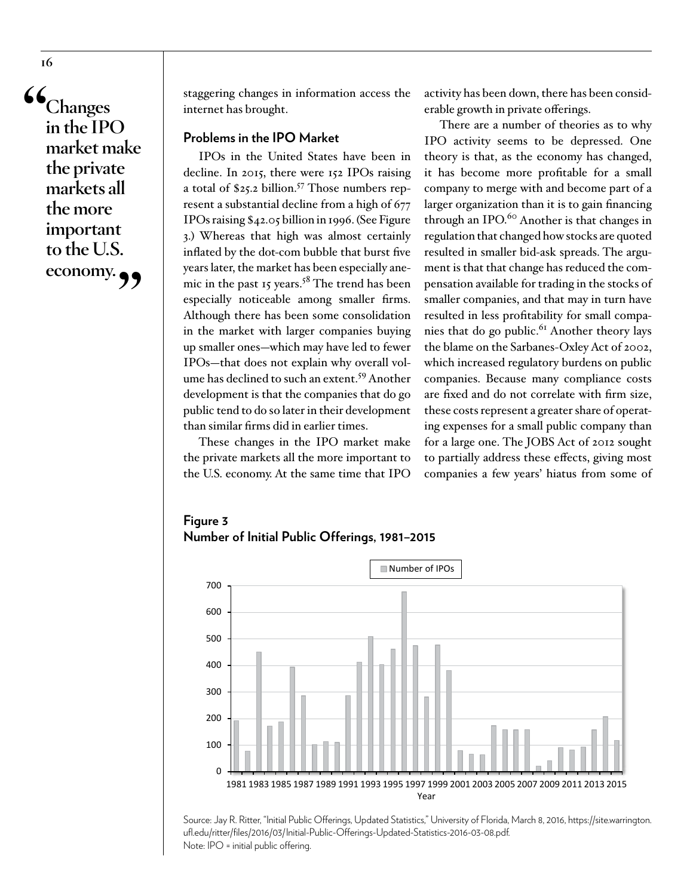**"Changes in the IPO market make the private markets all the more important to the U.S. economy."**

staggering changes in information access the internet has brought.

# **Problems in the IPO Market**

IPOs in the United States have been in decline. In 2015, there were 152 IPOs raising a total of \$25.2 billion.<sup>57</sup> Those numbers represent a substantial decline from a high of 677 IPOs raising \$42.05 billion in 1996. (See Figure 3.) Whereas that high was almost certainly inflated by the dot-com bubble that burst five years later, the market has been especially anemic in the past 15 years.<sup>58</sup> The trend has been especially noticeable among smaller firms. Although there has been some consolidation in the market with larger companies buying up smaller ones—which may have led to fewer IPOs—that does not explain why overall volume has declined to such an extent.<sup>59</sup> Another development is that the companies that do go public tend to do so later in their development than similar firms did in earlier times.

These changes in the IPO market make the private markets all the more important to the U.S. economy. At the same time that IPO activity has been down, there has been considerable growth in private offerings.

There are a number of theories as to why IPO activity seems to be depressed. One theory is that, as the economy has changed, it has become more profitable for a small company to merge with and become part of a larger organization than it is to gain financing through an IPO.<sup>60</sup> Another is that changes in regulation that changed how stocks are quoted resulted in smaller bid-ask spreads. The argument is that that change has reduced the compensation available for trading in the stocks of smaller companies, and that may in turn have resulted in less profitability for small compa-nies that do go public.<sup>[61](#page-25-6)</sup> Another theory lays the blame on the Sarbanes-Oxley Act of 2002, which increased regulatory burdens on public companies. Because many compliance costs are fixed and do not correlate with firm size, these costs represent a greater share of operating expenses for a small public company than for a large one. The JOBS Act of 2012 sought to partially address these effects, giving most companies a few years' hiatus from some of

# **Figure 3 Number of Initial Public Offerings, 1981–2015**



Source: Jay R. Ritter, "Initial Public Offerings, Updated Statistics," University of Florida, March 8, 2016, [https://site.warrington.](https://site.warrington.ufl.edu/ritter/files/2016/03/Initial-Public-Offerings-Updated-Statistics-2016-03-08.pdf) [ufl.edu/ritter/files/2016/03/Initial-Public-Offerings-Updated-Statistics-2016-03-08.pdf](https://site.warrington.ufl.edu/ritter/files/2016/03/Initial-Public-Offerings-Updated-Statistics-2016-03-08.pdf). Note: IPO = initial public offering.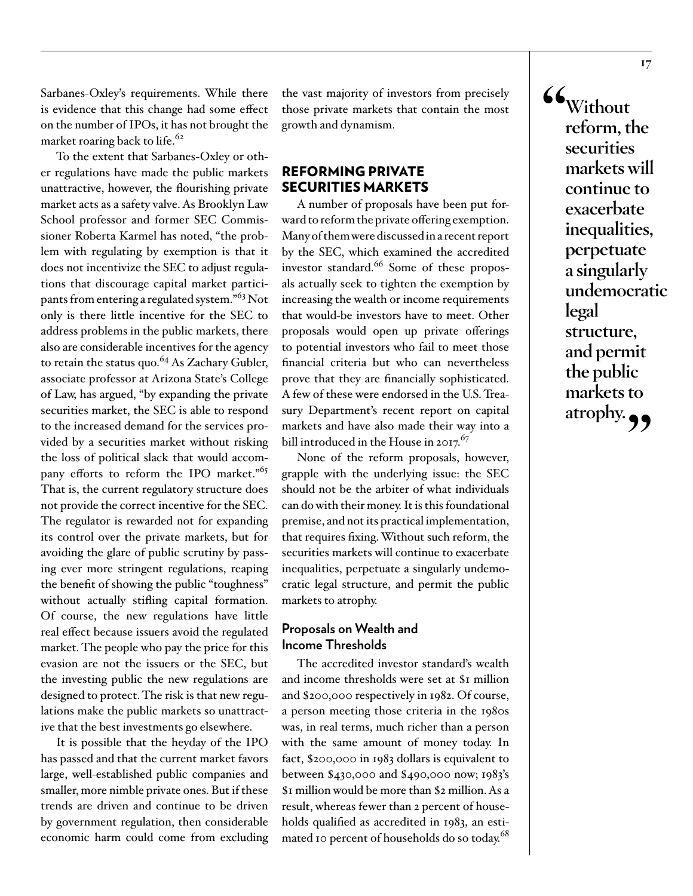Sarbanes-Oxley's requirements. While there is evidence that this change had some effect on the number of IPOs, it has not brought the market roaring back to life.<sup>[62](#page-25-7)</sup>

To the extent that Sarbanes-Oxley or other regulations have made the public markets unattractive, however, the flourishing private market acts as a safety valve. As Brooklyn Law School professor and former SEC Commissioner Roberta Karmel has noted, "the problem with regulating by exemption is that it does not incentivize the SEC to adjust regulations that discourage capital market participants from entering a regulated system."[63](#page-25-8) Not only is there little incentive for the SEC to address problems in the public markets, there also are considerable incentives for the agency to retain the status quo.<sup>64</sup> As Zachary Gubler, associate professor at Arizona State's College of Law, has argued, "by expanding the private securities market, the SEC is able to respond to the increased demand for the services provided by a securities market without risking the loss of political slack that would accom-pany efforts to reform the IPO market."<sup>[65](#page-25-10)</sup> That is, the current regulatory structure does not provide the correct incentive for the SEC. The regulator is rewarded not for expanding its control over the private markets, but for avoiding the glare of public scrutiny by passing ever more stringent regulations, reaping the benefit of showing the public "toughness" without actually stifling capital formation. Of course, the new regulations have little real effect because issuers avoid the regulated market. The people who pay the price for this evasion are not the issuers or the SEC, but the investing public the new regulations are designed to protect. The risk is that new regulations make the public markets so unattractive that the best investments go elsewhere.

It is possible that the heyday of the IPO has passed and that the current market favors large, well-established public companies and smaller, more nimble private ones. But if these trends are driven and continue to be driven by government regulation, then considerable economic harm could come from excluding the vast majority of investors from precisely those private markets that contain the most growth and dynamism.

# REFORMING PRIVATE SECURITIES MARKETS

A number of proposals have been put forward to reform the private offering exemption. Many of them were discussed in a recent report by the SEC, which examined the accredited investor standard. $66$  Some of these proposals actually seek to tighten the exemption by increasing the wealth or income requirements that would-be investors have to meet. Other proposals would open up private offerings to potential investors who fail to meet those financial criteria but who can nevertheless prove that they are financially sophisticated. A few of these were endorsed in the U.S. Treasury Department's recent report on capital markets and have also made their way into a bill introduced in the House in 2017. $67$ 

None of the reform proposals, however, grapple with the underlying issue: the SEC should not be the arbiter of what individuals can do with their money. It is this foundational premise, and not its practical implementation, that requires fixing. Without such reform, the securities markets will continue to exacerbate inequalities, perpetuate a singularly undemocratic legal structure, and permit the public markets to atrophy.

# **Proposals on Wealth and Income Thresholds**

The accredited investor standard's wealth and income thresholds were set at \$1 million and \$200,000 respectively in 1982. Of course, a person meeting those criteria in the 1980s was, in real terms, much richer than a person with the same amount of money today. In fact, \$200,000 in 1983 dollars is equivalent to between \$430,000 and \$490,000 now; 1983's \$1 million would be more than \$2 million. As a result, whereas fewer than 2 percent of households qualified as accredited in 1983, an estimated 10 percent of households do so today.<sup>68</sup>

**"Without reform, the securities markets will continue to exacerbate inequalities, perpetuate a singularly undemocratic legal structure, and permit the public markets to**  atrophy.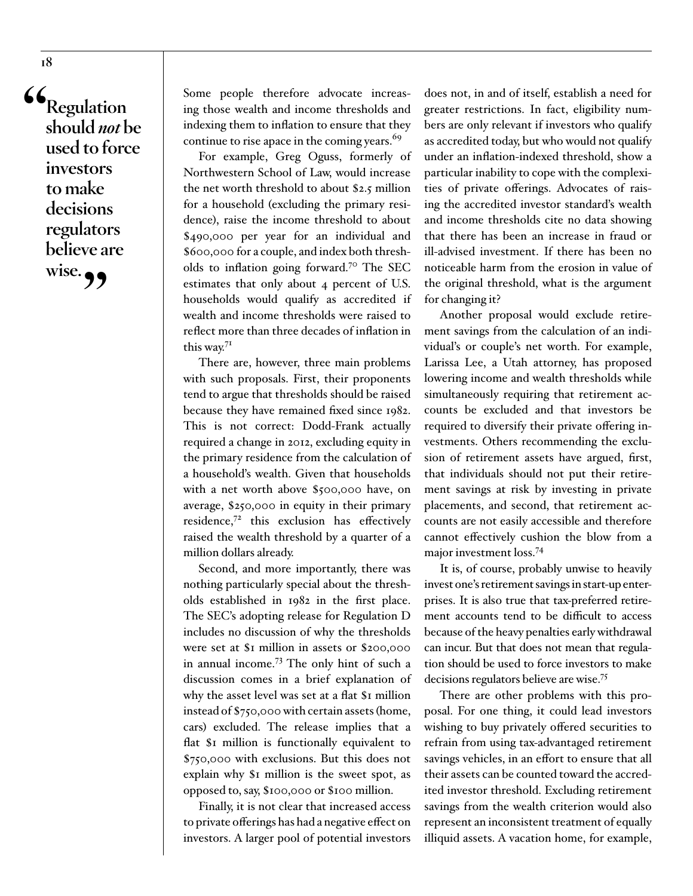**"Regulation should** *not* **be used to force investors to make decisions regulators believe are**  wise.

Some people therefore advocate increasing those wealth and income thresholds and indexing them to inflation to ensure that they continue to rise apace in the coming years.<sup>[69](#page-25-14)</sup>

For example, Greg Oguss, formerly of Northwestern School of Law, would increase the net worth threshold to about \$2.5 million for a household (excluding the primary residence), raise the income threshold to about \$490,000 per year for an individual and \$600,000 for a couple, and index both thresholds to inflation going forward.[70](#page-25-15) The SEC estimates that only about 4 percent of U.S. households would qualify as accredited if wealth and income thresholds were raised to reflect more than three decades of inflation in this way.<sup>[71](#page-25-16)</sup>

There are, however, three main problems with such proposals. First, their proponents tend to argue that thresholds should be raised because they have remained fixed since 1982. This is not correct: Dodd-Frank actually required a change in 2012, excluding equity in the primary residence from the calculation of a household's wealth. Given that households with a net worth above \$500,000 have, on average, \$250,000 in equity in their primary residence, $72$  this exclusion has effectively raised the wealth threshold by a quarter of a million dollars already.

Second, and more importantly, there was nothing particularly special about the thresholds established in 1982 in the first place. The SEC's adopting release for Regulation D includes no discussion of why the thresholds were set at \$1 million in assets or \$200,000 in annual income[.73](#page-25-18) The only hint of such a discussion comes in a brief explanation of why the asset level was set at a flat \$1 million instead of \$750,000 with certain assets (home, cars) excluded. The release implies that a flat \$1 million is functionally equivalent to \$750,000 with exclusions. But this does not explain why \$1 million is the sweet spot, as opposed to, say, \$100,000 or \$100 million.

Finally, it is not clear that increased access to private offerings has had a negative effect on investors. A larger pool of potential investors

does not, in and of itself, establish a need for greater restrictions. In fact, eligibility numbers are only relevant if investors who qualify as accredited today, but who would not qualify under an inflation-indexed threshold, show a particular inability to cope with the complexities of private offerings. Advocates of raising the accredited investor standard's wealth and income thresholds cite no data showing that there has been an increase in fraud or ill-advised investment. If there has been no noticeable harm from the erosion in value of the original threshold, what is the argument for changing it?

Another proposal would exclude retirement savings from the calculation of an individual's or couple's net worth. For example, Larissa Lee, a Utah attorney, has proposed lowering income and wealth thresholds while simultaneously requiring that retirement accounts be excluded and that investors be required to diversify their private offering investments. Others recommending the exclusion of retirement assets have argued, first, that individuals should not put their retirement savings at risk by investing in private placements, and second, that retirement accounts are not easily accessible and therefore cannot effectively cushion the blow from a major investment loss[.74](#page-25-19)

It is, of course, probably unwise to heavily invest one's retirement savings in start-up enterprises. It is also true that tax-preferred retirement accounts tend to be difficult to access because of the heavy penalties early withdrawal can incur. But that does not mean that regulation should be used to force investors to make decisions regulators believe are wise.[75](#page-25-20)

There are other problems with this proposal. For one thing, it could lead investors wishing to buy privately offered securities to refrain from using tax-advantaged retirement savings vehicles, in an effort to ensure that all their assets can be counted toward the accredited investor threshold. Excluding retirement savings from the wealth criterion would also represent an inconsistent treatment of equally illiquid assets. A vacation home, for example,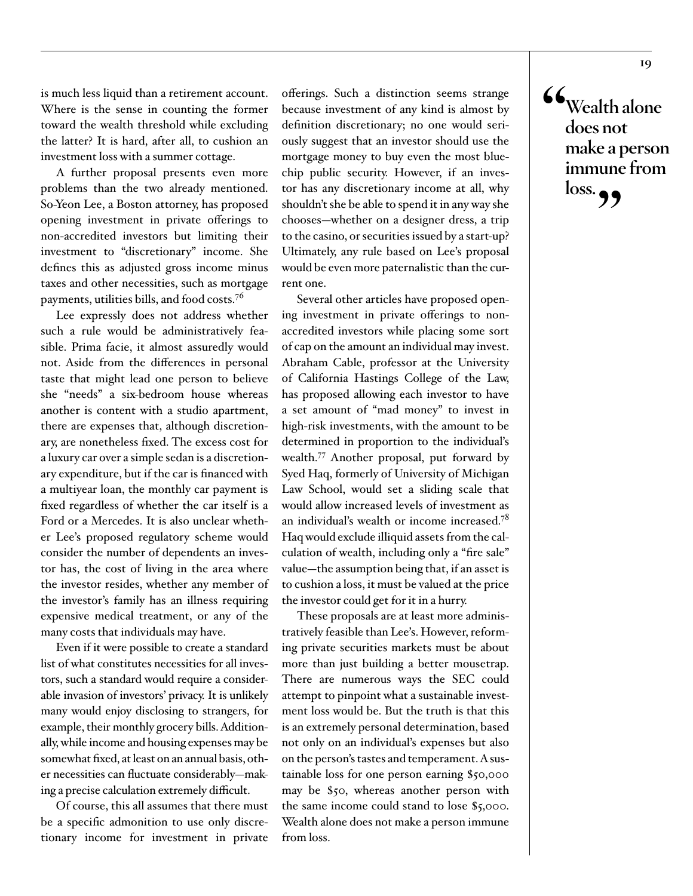is much less liquid than a retirement account. Where is the sense in counting the former toward the wealth threshold while excluding the latter? It is hard, after all, to cushion an investment loss with a summer cottage.

A further proposal presents even more problems than the two already mentioned. So-Yeon Lee, a Boston attorney, has proposed opening investment in private offerings to non-accredited investors but limiting their investment to "discretionary" income. She defines this as adjusted gross income minus taxes and other necessities, such as mortgage payments, utilities bills, and food costs.[76](#page-26-0)

Lee expressly does not address whether such a rule would be administratively feasible. Prima facie, it almost assuredly would not. Aside from the differences in personal taste that might lead one person to believe she "needs" a six-bedroom house whereas another is content with a studio apartment, there are expenses that, although discretionary, are nonetheless fixed. The excess cost for a luxury car over a simple sedan is a discretionary expenditure, but if the car is financed with a multiyear loan, the monthly car payment is fixed regardless of whether the car itself is a Ford or a Mercedes. It is also unclear whether Lee's proposed regulatory scheme would consider the number of dependents an investor has, the cost of living in the area where the investor resides, whether any member of the investor's family has an illness requiring expensive medical treatment, or any of the many costs that individuals may have.

Even if it were possible to create a standard list of what constitutes necessities for all investors, such a standard would require a considerable invasion of investors' privacy. It is unlikely many would enjoy disclosing to strangers, for example, their monthly grocery bills. Additionally, while income and housing expenses may be somewhat fixed, at least on an annual basis, other necessities can fluctuate considerably—making a precise calculation extremely difficult.

Of course, this all assumes that there must be a specific admonition to use only discretionary income for investment in private

offerings. Such a distinction seems strange because investment of any kind is almost by definition discretionary; no one would seriously suggest that an investor should use the mortgage money to buy even the most bluechip public security. However, if an investor has any discretionary income at all, why shouldn't she be able to spend it in any way she chooses—whether on a designer dress, a trip to the casino, or securities issued by a start-up? Ultimately, any rule based on Lee's proposal would be even more paternalistic than the current one.

Several other articles have proposed opening investment in private offerings to nonaccredited investors while placing some sort of cap on the amount an individual may invest. Abraham Cable, professor at the University of California Hastings College of the Law, has proposed allowing each investor to have a set amount of "mad money" to invest in high-risk investments, with the amount to be determined in proportion to the individual's wealth.[77](#page-26-1) Another proposal, put forward by Syed Haq, formerly of University of Michigan Law School, would set a sliding scale that would allow increased levels of investment as an individual's wealth or income increased.[78](#page-26-2) Haq would exclude illiquid assets from the calculation of wealth, including only a "fire sale" value—the assumption being that, if an asset is to cushion a loss, it must be valued at the price the investor could get for it in a hurry.

These proposals are at least more administratively feasible than Lee's. However, reforming private securities markets must be about more than just building a better mousetrap. There are numerous ways the SEC could attempt to pinpoint what a sustainable investment loss would be. But the truth is that this is an extremely personal determination, based not only on an individual's expenses but also on the person's tastes and temperament. A sustainable loss for one person earning \$50,000 may be \$50, whereas another person with the same income could stand to lose \$5,000. Wealth alone does not make a person immune from loss.

**"Wealth alone does not make a person immune from loss."**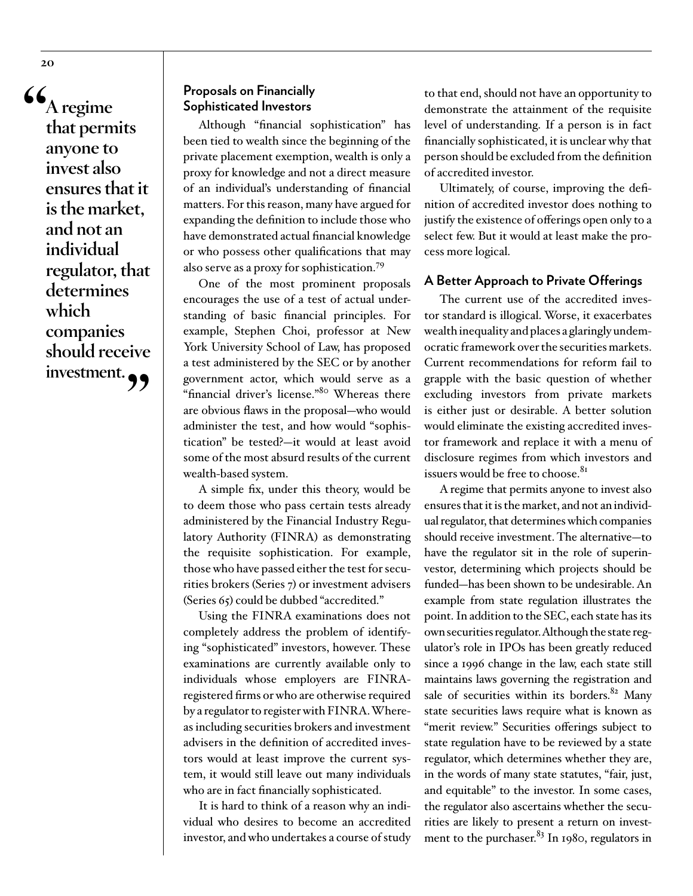**"A regime that permits anyone to invest also ensures that it is the market, and not an individual regulator, that determines which companies should receive investment."**

# **Proposals on Financially Sophisticated Investors**

Although "financial sophistication" has been tied to wealth since the beginning of the private placement exemption, wealth is only a proxy for knowledge and not a direct measure of an individual's understanding of financial matters. For this reason, many have argued for expanding the definition to include those who have demonstrated actual financial knowledge or who possess other qualifications that may also serve as a proxy for sophistication.[79](#page-26-3)

One of the most prominent proposals encourages the use of a test of actual understanding of basic financial principles. For example, Stephen Choi, professor at New York University School of Law, has proposed a test administered by the SEC or by another government actor, which would serve as a "financial driver's license."[80](#page-26-4) Whereas there are obvious flaws in the proposal—who would administer the test, and how would "sophistication" be tested?—it would at least avoid some of the most absurd results of the current wealth-based system.

A simple fix, under this theory, would be to deem those who pass certain tests already administered by the Financial Industry Regulatory Authority (FINRA) as demonstrating the requisite sophistication. For example, those who have passed either the test for securities brokers (Series 7) or investment advisers (Series 65) could be dubbed "accredited."

Using the FINRA examinations does not completely address the problem of identifying "sophisticated" investors, however. These examinations are currently available only to individuals whose employers are FINRAregistered firms or who are otherwise required by a regulator to register with FINRA. Whereas including securities brokers and investment advisers in the definition of accredited investors would at least improve the current system, it would still leave out many individuals who are in fact financially sophisticated.

It is hard to think of a reason why an individual who desires to become an accredited investor, and who undertakes a course of study

to that end, should not have an opportunity to demonstrate the attainment of the requisite level of understanding. If a person is in fact financially sophisticated, it is unclear why that person should be excluded from the definition of accredited investor.

Ultimately, of course, improving the definition of accredited investor does nothing to justify the existence of offerings open only to a select few. But it would at least make the process more logical.

#### **A Better Approach to Private Offerings**

The current use of the accredited investor standard is illogical. Worse, it exacerbates wealth inequality and places a glaringly undemocratic framework over the securities markets. Current recommendations for reform fail to grapple with the basic question of whether excluding investors from private markets is either just or desirable. A better solution would eliminate the existing accredited investor framework and replace it with a menu of disclosure regimes from which investors and issuers would be free to choose.<sup>[81](#page-26-5)</sup>

A regime that permits anyone to invest also ensures that it is the market, and not an individual regulator, that determines which companies should receive investment. The alternative—to have the regulator sit in the role of superinvestor, determining which projects should be funded—has been shown to be undesirable. An example from state regulation illustrates the point. In addition to the SEC, each state has its own securities regulator. Although the state regulator's role in IPOs has been greatly reduced since a 1996 change in the law, each state still maintains laws governing the registration and sale of securities within its borders.<sup>82</sup> Many state securities laws require what is known as "merit review." Securities offerings subject to state regulation have to be reviewed by a state regulator, which determines whether they are, in the words of many state statutes, "fair, just, and equitable" to the investor. In some cases, the regulator also ascertains whether the securities are likely to present a return on investment to the purchaser. $83$  In 1980, regulators in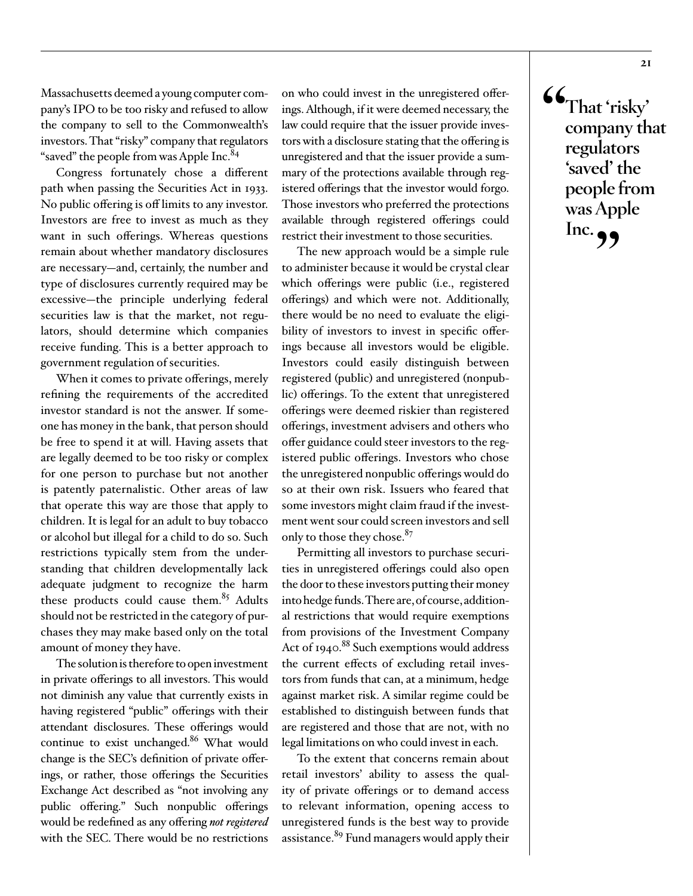Massachusetts deemed a young computer company's IPO to be too risky and refused to allow the company to sell to the Commonwealth's investors. That "risky" company that regulators "saved" the people from was Apple Inc.<sup>[84](#page-26-8)</sup>

Congress fortunately chose a different path when passing the Securities Act in 1933. No public offering is off limits to any investor. Investors are free to invest as much as they want in such offerings. Whereas questions remain about whether mandatory disclosures are necessary—and, certainly, the number and type of disclosures currently required may be excessive—the principle underlying federal securities law is that the market, not regulators, should determine which companies receive funding. This is a better approach to government regulation of securities.

When it comes to private offerings, merely refining the requirements of the accredited investor standard is not the answer. If someone has money in the bank, that person should be free to spend it at will. Having assets that are legally deemed to be too risky or complex for one person to purchase but not another is patently paternalistic. Other areas of law that operate this way are those that apply to children. It is legal for an adult to buy tobacco or alcohol but illegal for a child to do so. Such restrictions typically stem from the understanding that children developmentally lack adequate judgment to recognize the harm these products could cause them.<sup>85</sup> Adults should not be restricted in the category of purchases they may make based only on the total amount of money they have.

The solution is therefore to open investment in private offerings to all investors. This would not diminish any value that currently exists in having registered "public" offerings with their attendant disclosures. These offerings would continue to exist unchanged.<sup>[86](#page-26-10)</sup> What would change is the SEC's definition of private offerings, or rather, those offerings the Securities Exchange Act described as "not involving any public offering." Such nonpublic offerings would be redefined as any offering *not registered* with the SEC. There would be no restrictions

on who could invest in the unregistered offerings. Although, if it were deemed necessary, the law could require that the issuer provide investors with a disclosure stating that the offering is unregistered and that the issuer provide a summary of the protections available through registered offerings that the investor would forgo. Those investors who preferred the protections available through registered offerings could restrict their investment to those securities.

The new approach would be a simple rule to administer because it would be crystal clear which offerings were public (i.e., registered offerings) and which were not. Additionally, there would be no need to evaluate the eligibility of investors to invest in specific offerings because all investors would be eligible. Investors could easily distinguish between registered (public) and unregistered (nonpublic) offerings. To the extent that unregistered offerings were deemed riskier than registered offerings, investment advisers and others who offer guidance could steer investors to the registered public offerings. Investors who chose the unregistered nonpublic offerings would do so at their own risk. Issuers who feared that some investors might claim fraud if the investment went sour could screen investors and sell only to those they chose.<sup>[87](#page-26-11)</sup>

Permitting all investors to purchase securities in unregistered offerings could also open the door to these investors putting their money into hedge funds. There are, of course, additional restrictions that would require exemptions from provisions of the Investment Company Act of 1940.<sup>88</sup> Such exemptions would address the current effects of excluding retail investors from funds that can, at a minimum, hedge against market risk. A similar regime could be established to distinguish between funds that are registered and those that are not, with no legal limitations on who could invest in each.

To the extent that concerns remain about retail investors' ability to assess the quality of private offerings or to demand access to relevant information, opening access to unregistered funds is the best way to provide assistance.<sup>89</sup> Fund managers would apply their **"That 'risky' company that regulators 'saved' the people from** 

**was Apple** 

Inc. **99**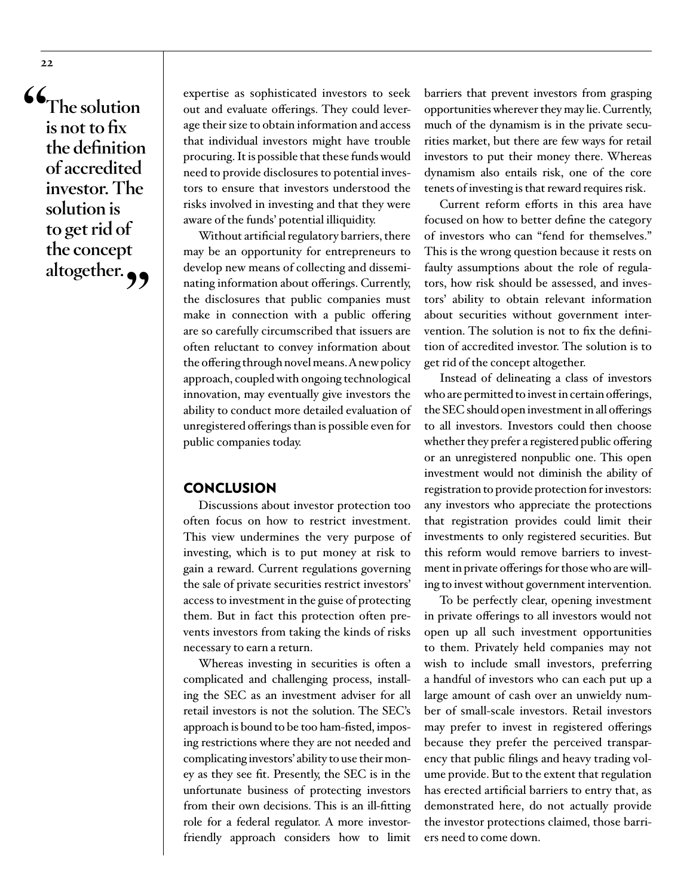**"The solution is not to fix the definition of accredited investor. The solution is to get rid of the concept**  altogether.

expertise as sophisticated investors to seek out and evaluate offerings. They could leverage their size to obtain information and access that individual investors might have trouble procuring. It is possible that these funds would need to provide disclosures to potential investors to ensure that investors understood the risks involved in investing and that they were aware of the funds' potential illiquidity.

Without artificial regulatory barriers, there may be an opportunity for entrepreneurs to develop new means of collecting and disseminating information about offerings. Currently, the disclosures that public companies must make in connection with a public offering are so carefully circumscribed that issuers are often reluctant to convey information about the offering through novel means. A new policy approach, coupled with ongoing technological innovation, may eventually give investors the ability to conduct more detailed evaluation of unregistered offerings than is possible even for public companies today.

#### **CONCLUSION**

Discussions about investor protection too often focus on how to restrict investment. This view undermines the very purpose of investing, which is to put money at risk to gain a reward. Current regulations governing the sale of private securities restrict investors' access to investment in the guise of protecting them. But in fact this protection often prevents investors from taking the kinds of risks necessary to earn a return.

Whereas investing in securities is often a complicated and challenging process, installing the SEC as an investment adviser for all retail investors is not the solution. The SEC's approach is bound to be too ham-fisted, imposing restrictions where they are not needed and complicating investors' ability to use their money as they see fit. Presently, the SEC is in the unfortunate business of protecting investors from their own decisions. This is an ill-fitting role for a federal regulator. A more investorfriendly approach considers how to limit

barriers that prevent investors from grasping opportunities wherever they may lie. Currently, much of the dynamism is in the private securities market, but there are few ways for retail investors to put their money there. Whereas dynamism also entails risk, one of the core tenets of investing is that reward requires risk.

Current reform efforts in this area have focused on how to better define the category of investors who can "fend for themselves." This is the wrong question because it rests on faulty assumptions about the role of regulators, how risk should be assessed, and investors' ability to obtain relevant information about securities without government intervention. The solution is not to fix the definition of accredited investor. The solution is to get rid of the concept altogether.

Instead of delineating a class of investors who are permitted to invest in certain offerings, the SEC should open investment in all offerings to all investors. Investors could then choose whether they prefer a registered public offering or an unregistered nonpublic one. This open investment would not diminish the ability of registration to provide protection for investors: any investors who appreciate the protections that registration provides could limit their investments to only registered securities. But this reform would remove barriers to investment in private offerings for those who are willing to invest without government intervention.

To be perfectly clear, opening investment in private offerings to all investors would not open up all such investment opportunities to them. Privately held companies may not wish to include small investors, preferring a handful of investors who can each put up a large amount of cash over an unwieldy number of small-scale investors. Retail investors may prefer to invest in registered offerings because they prefer the perceived transparency that public filings and heavy trading volume provide. But to the extent that regulation has erected artificial barriers to entry that, as demonstrated here, do not actually provide the investor protections claimed, those barriers need to come down.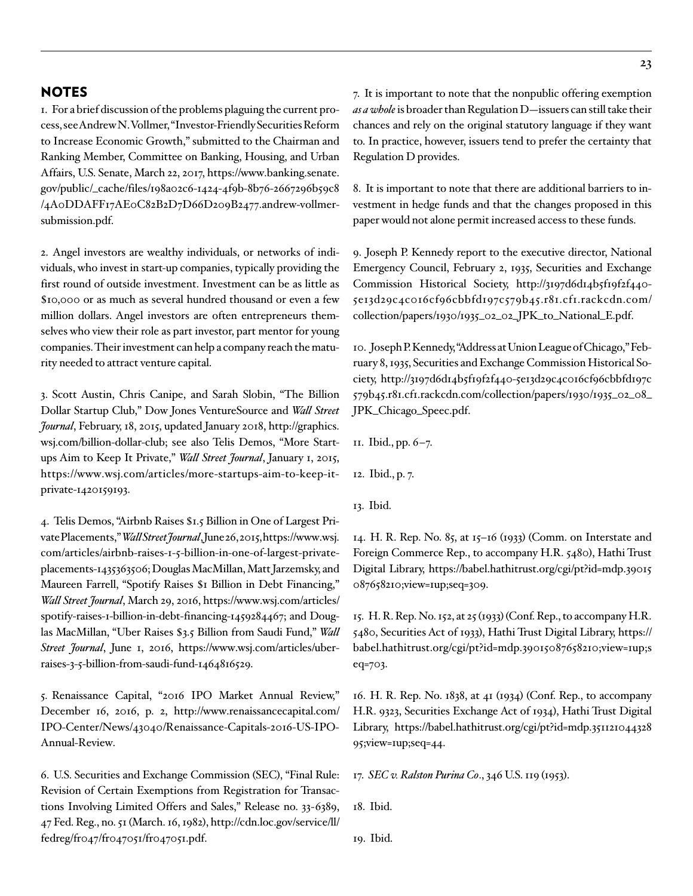# NOTES

<span id="page-22-0"></span>1. For a brief discussion of the problems plaguing the current process, see Andrew N. Vollmer, "Investor-Friendly Securities Reform to Increase Economic Growth," submitted to the Chairman and Ranking Member, Committee on Banking, Housing, and Urban Affairs, U.S. Senate, March 22, 2017, [https://www.banking.senate.](https://www.banking.senate.gov/public/_cache/files/198a02c6-1424-4f9b-8b76-2667296b59c8/4A0DDAFF17AE0C82B2D7D66D209B2477.andrew-vollmer-submission.pdf) [gov/public/\\_cache/files/198a02c6-1424-4f9b-8b76-2667296b59c8](https://www.banking.senate.gov/public/_cache/files/198a02c6-1424-4f9b-8b76-2667296b59c8/4A0DDAFF17AE0C82B2D7D66D209B2477.andrew-vollmer-submission.pdf) [/4A0DDAFF17AE0C82B2D7D66D209B2477.andrew-vollmer](https://www.banking.senate.gov/public/_cache/files/198a02c6-1424-4f9b-8b76-2667296b59c8/4A0DDAFF17AE0C82B2D7D66D209B2477.andrew-vollmer-submission.pdf)[submission.pdf](https://www.banking.senate.gov/public/_cache/files/198a02c6-1424-4f9b-8b76-2667296b59c8/4A0DDAFF17AE0C82B2D7D66D209B2477.andrew-vollmer-submission.pdf).

<span id="page-22-1"></span>2. Angel investors are wealthy individuals, or networks of individuals, who invest in start-up companies, typically providing the first round of outside investment. Investment can be as little as \$10,000 or as much as several hundred thousand or even a few million dollars. Angel investors are often entrepreneurs themselves who view their role as part investor, part mentor for young companies. Their investment can help a company reach the maturity needed to attract venture capital.

<span id="page-22-2"></span>3. Scott Austin, Chris Canipe, and Sarah Slobin, "The Billion Dollar Startup Club," Dow Jones VentureSource and *Wall Street Journal*, February, 18, 2015, updated January 2018, [http://graphics.](http://graphics.wsj.com/billion-dollar-club) [wsj.com/billion-dollar-club;](http://graphics.wsj.com/billion-dollar-club) see also Telis Demos, "More Startups Aim to Keep It Private," *Wall Street Journal*, January 1, 2015, [https://www.wsj.com/articles/more-startups-aim-to-keep-it](https://www.wsj.com/articles/more-startups-aim-to-keep-it-private-1420159193)[private-1420159193.](https://www.wsj.com/articles/more-startups-aim-to-keep-it-private-1420159193)

<span id="page-22-3"></span>4. Telis Demos, "Airbnb Raises \$1.5 Billion in One of Largest Private Placements," *Wall Street Journal*, June 26, 2015, [https://www.wsj.](https://www.wsj.com/articles/airbnb-raises-1-5-billion-in-one-of-largest-private-placements-1435363506) [com/articles/airbnb-raises-1-5-billion-in-one-of-largest-private](https://www.wsj.com/articles/airbnb-raises-1-5-billion-in-one-of-largest-private-placements-1435363506)[placements-1435363506;](https://www.wsj.com/articles/airbnb-raises-1-5-billion-in-one-of-largest-private-placements-1435363506) Douglas MacMillan, Matt Jarzemsky, and Maureen Farrell, "Spotify Raises \$1 Billion in Debt Financing," *Wall Street Journal*, March 29, 2016, [https://www.wsj.com/articles/](https://www.wsj.com/articles/spotify-raises-1-billion-in-debt-financing-1459284467) [spotify-raises-1-billion-in-debt-financing-1459284467;](https://www.wsj.com/articles/spotify-raises-1-billion-in-debt-financing-1459284467) and Douglas MacMillan, "Uber Raises \$3.5 Billion from Saudi Fund," *Wall Street Journal*, June 1, 2016, [https://www.wsj.com/articles/uber](https://www.wsj.com/articles/uber-raises-3-5-billion-from-saudi-fund-1464816529)[raises-3-5-billion-from-saudi-fund-1464816529](https://www.wsj.com/articles/uber-raises-3-5-billion-from-saudi-fund-1464816529).

<span id="page-22-4"></span>5. Renaissance Capital, "2016 IPO Market Annual Review," December 16, 2016, p. 2, [http://www.renaissancecapital.com/](http://www.renaissancecapital.com/IPO-Center/News/43040/Renaissance-Capitals-2016-US-IPO-Annual-Review) [IPO-Center/News/43040/Renaissance-Capitals-2016-US-IPO-](http://www.renaissancecapital.com/IPO-Center/News/43040/Renaissance-Capitals-2016-US-IPO-Annual-Review)[Annual-Review.](http://www.renaissancecapital.com/IPO-Center/News/43040/Renaissance-Capitals-2016-US-IPO-Annual-Review)

<span id="page-22-5"></span>6. U.S. Securities and Exchange Commission (SEC), "Final Rule: Revision of Certain Exemptions from Registration for Transactions Involving Limited Offers and Sales," Release no. 33-6389, 47 Fed. Reg., no. 51 (March. 16, 1982), [http://cdn.loc.gov/service/ll/](http://cdn.loc.gov/service/ll/fedreg/fr047/fr047051/fr047051.pdf) [fedreg/fr047/fr047051/fr047051.pdf.](http://cdn.loc.gov/service/ll/fedreg/fr047/fr047051/fr047051.pdf)

<span id="page-22-6"></span>7. It is important to note that the nonpublic offering exemption *as a whole* is broader than Regulation D—issuers can still take their chances and rely on the original statutory language if they want to. In practice, however, issuers tend to prefer the certainty that Regulation D provides.

<span id="page-22-7"></span>8. It is important to note that there are additional barriers to investment in hedge funds and that the changes proposed in this paper would not alone permit increased access to these funds.

<span id="page-22-8"></span>9. Joseph P. Kennedy report to the executive director, National Emergency Council, February 2, 1935, Securities and Exchange Commission Historical Society, [http://3197d6d14b5f19f2f440-](http://3197d6d14b5f19f2f440-5e13d29c4c016cf96cbbfd197c579b45.r81.cf1.rackcdn.com/collection/papers/1930/1935_02_02_JPK_to_National_E.pdf) [5e13d29c4c016cf96cbbfd197c579b45.r81.cf1.rackcdn.com/](http://3197d6d14b5f19f2f440-5e13d29c4c016cf96cbbfd197c579b45.r81.cf1.rackcdn.com/collection/papers/1930/1935_02_02_JPK_to_National_E.pdf) [collection/papers/1930/1935\\_02\\_02\\_JPK\\_to\\_National\\_E.pdf.](http://3197d6d14b5f19f2f440-5e13d29c4c016cf96cbbfd197c579b45.r81.cf1.rackcdn.com/collection/papers/1930/1935_02_02_JPK_to_National_E.pdf)

<span id="page-22-9"></span>10. Joseph P. Kennedy, "Address at Union League of Chicago," February 8, 1935, Securities and Exchange Commission Historical Society, [http://3197d6d14b5f19f2f440-5e13d29c4c016cf96cbbfd197c](http://3197d6d14b5f19f2f440-5e13d29c4c016cf96cbbfd197c579b45.r81.cf1.rackcdn.com/collection/papers/1930/1935_02_08_JPK_Chicago_Speec.pdf) [579b45.r81.cf1.rackcdn.com/collection/papers/1930/1935\\_02\\_08\\_](http://3197d6d14b5f19f2f440-5e13d29c4c016cf96cbbfd197c579b45.r81.cf1.rackcdn.com/collection/papers/1930/1935_02_08_JPK_Chicago_Speec.pdf) [JPK\\_Chicago\\_Speec.pdf](http://3197d6d14b5f19f2f440-5e13d29c4c016cf96cbbfd197c579b45.r81.cf1.rackcdn.com/collection/papers/1930/1935_02_08_JPK_Chicago_Speec.pdf).

<span id="page-22-10"></span>11. Ibid., pp. 6–7.

<span id="page-22-11"></span>12. Ibid., p. 7.

<span id="page-22-12"></span>13. Ibid.

<span id="page-22-13"></span>14. H. R. Rep. No. 85, at 15–16 (1933) (Comm. on Interstate and Foreign Commerce Rep., to accompany H.R. 5480), Hathi Trust Digital Library, [https://babel.hathitrust.org/cgi/pt?id=mdp.39015](https://babel.hathitrust.org/cgi/pt?id=mdp.39015087658210;view=1up;seq=309) [087658210;view=1up;seq=309](https://babel.hathitrust.org/cgi/pt?id=mdp.39015087658210;view=1up;seq=309).

<span id="page-22-14"></span>15. H. R. Rep. No. 152, at 25 (1933) (Conf. Rep., to accompany H.R. 5480, Securities Act of 1933), Hathi Trust Digital Library, [https://](https://babel.hathitrust.org/cgi/pt?id=mdp.39015087658210;view=1up;seq=703) [babel.hathitrust.org/cgi/pt?id=mdp.39015087658210;view=1up;s](https://babel.hathitrust.org/cgi/pt?id=mdp.39015087658210;view=1up;seq=703) [eq=703](https://babel.hathitrust.org/cgi/pt?id=mdp.39015087658210;view=1up;seq=703).

<span id="page-22-15"></span>16. H. R. Rep. No. 1838, at 41 (1934) (Conf. Rep., to accompany H.R. 9323, Securities Exchange Act of 1934), Hathi Trust Digital Library, [https://babel.hathitrust.org/cgi/pt?id=mdp.351121044328](https://babel.hathitrust.org/cgi/pt?id=mdp.35112104432895;view=1up;seq=44) [95;view=1up;seq=44](https://babel.hathitrust.org/cgi/pt?id=mdp.35112104432895;view=1up;seq=44).

<span id="page-22-16"></span>17. *SEC v. Ralston Purina Co*., 346 U.S. 119 (1953).

<span id="page-22-17"></span>18. Ibid.

<span id="page-22-18"></span>19. Ibid.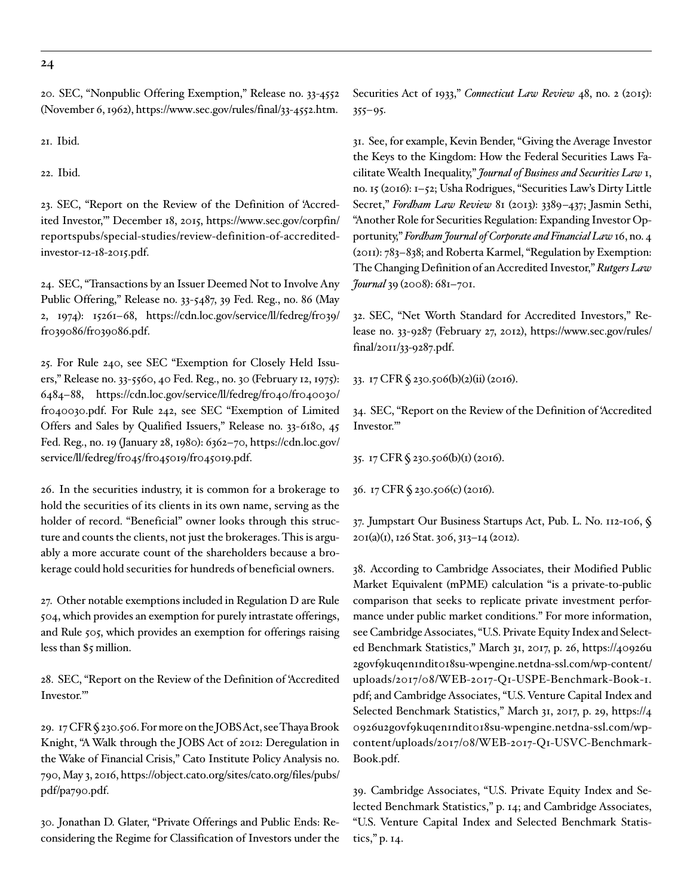<span id="page-23-0"></span>20. SEC, "Nonpublic Offering Exemption," Release no. 33-4552 (November 6, 1962),<https://www.sec.gov/rules/final/33-4552.htm>.

<span id="page-23-1"></span>21. Ibid.

<span id="page-23-2"></span>22. Ibid.

<span id="page-23-3"></span>23. SEC, "Report on the Review of the Definition of 'Accredited Investor,'" December 18, 2015, [https://www.sec.gov/corpfin/](https://www.sec.gov/corpfin/reportspubs/special-studies/review-definition-of-accredited-investor-12-18-2015.pdf) [reportspubs/special-studies/review-definition-of-accredited](https://www.sec.gov/corpfin/reportspubs/special-studies/review-definition-of-accredited-investor-12-18-2015.pdf)[investor-12-18-2015.pdf](https://www.sec.gov/corpfin/reportspubs/special-studies/review-definition-of-accredited-investor-12-18-2015.pdf).

<span id="page-23-4"></span>24. SEC, "Transactions by an Issuer Deemed Not to Involve Any Public Offering," Release no. 33-5487, 39 Fed. Reg., no. 86 (May 2, 1974): 15261–68, [https://cdn.loc.gov/service/ll/fedreg/fr039/](https://cdn.loc.gov/service/ll/fedreg/fr039/fr039086/fr039086.pdf) [fr039086/fr039086.pdf](https://cdn.loc.gov/service/ll/fedreg/fr039/fr039086/fr039086.pdf).

<span id="page-23-5"></span>25. For Rule 240, see SEC "Exemption for Closely Held Issuers," Release no. 33-5560, 40 Fed. Reg., no. 30 (February 12, 1975): 6484–88, [https://cdn.loc.gov/service/ll/fedreg/fr040/fr040030/](https://cdn.loc.gov/service/ll/fedreg/fr040/fr040030/fr040030.pdf) [fr040030.pdf.](https://cdn.loc.gov/service/ll/fedreg/fr040/fr040030/fr040030.pdf) For Rule 242, see SEC "Exemption of Limited Offers and Sales by Qualified Issuers," Release no. 33-6180, 45 Fed. Reg., no. 19 (January 28, 1980): 6362–70, [https://cdn.loc.gov/](https://cdn.loc.gov/service/ll/fedreg/fr045/fr045019/fr045019.pdf) [service/ll/fedreg/fr045/fr045019/fr045019.pdf.](https://cdn.loc.gov/service/ll/fedreg/fr045/fr045019/fr045019.pdf)

<span id="page-23-6"></span>26. In the securities industry, it is common for a brokerage to hold the securities of its clients in its own name, serving as the holder of record. "Beneficial" owner looks through this structure and counts the clients, not just the brokerages. This is arguably a more accurate count of the shareholders because a brokerage could hold securities for hundreds of beneficial owners.

<span id="page-23-7"></span>27. Other notable exemptions included in Regulation D are Rule 504, which provides an exemption for purely intrastate offerings, and Rule 505, which provides an exemption for offerings raising less than \$5 million.

<span id="page-23-8"></span>28. SEC, "Report on the Review of the Definition of 'Accredited Investor.'"

<span id="page-23-9"></span>29. 17 CFR § 230.506. For more on the JOBS Act, see Thaya Brook Knight, "A Walk through the JOBS Act of 2012: Deregulation in the Wake of Financial Crisis," Cato Institute Policy Analysis no. 790, May 3, 2016, [https://object.cato.org/sites/cato.org/files/pubs/](https://object.cato.org/sites/cato.org/files/pubs/pdf/pa790.pdf) [pdf/pa790.pdf](https://object.cato.org/sites/cato.org/files/pubs/pdf/pa790.pdf).

<span id="page-23-10"></span>30. Jonathan D. Glater, "Private Offerings and Public Ends: Reconsidering the Regime for Classification of Investors under the Securities Act of 1933," *Connecticut Law Review* 48, no. 2 (2015):  $355 - 95.$ 

<span id="page-23-11"></span>31. See, for example, Kevin Bender, "Giving the Average Investor the Keys to the Kingdom: How the Federal Securities Laws Facilitate Wealth Inequality," *Journal of Business and Securities Law* 1, no. 15 (2016): 1–52; Usha Rodrigues, "Securities Law's Dirty Little Secret," *Fordham Law Review* 81 (2013): 3389–437; Jasmin Sethi, "Another Role for Securities Regulation: Expanding Investor Opportunity," *Fordham Journal of Corporate and Financial Law* 16, no. 4 (2011): 783–838; and Roberta Karmel, "Regulation by Exemption: The Changing Definition of an Accredited Investor," *Rutgers Law Journal* 39 (2008): 681–701.

<span id="page-23-12"></span>32. SEC, "Net Worth Standard for Accredited Investors," Release no. 33-9287 (February 27, 2012), [https://www.sec.gov/rules/](https://www.sec.gov/rules/final/2011/33-9287.pdf) [final/2011/33-9287.pdf](https://www.sec.gov/rules/final/2011/33-9287.pdf).

<span id="page-23-13"></span>33. 17 CFR § 230.506(b)(2)(ii) (2016).

<span id="page-23-14"></span>34. SEC, "Report on the Review of the Definition of 'Accredited Investor.'"

<span id="page-23-15"></span>35. 17 CFR § 230.506(b)(1) (2016).

<span id="page-23-16"></span>36. 17 CFR § 230.506(c) (2016).

<span id="page-23-17"></span>37. Jumpstart Our Business Startups Act, Pub. L. No. 112-106, § 201(a)(1), 126 Stat. 306, 313–14 (2012).

<span id="page-23-18"></span>38. According to Cambridge Associates, their Modified Public Market Equivalent (mPME) calculation "is a private-to-public comparison that seeks to replicate private investment performance under public market conditions." For more information, see Cambridge Associates, "U.S. Private Equity Index and Selected Benchmark Statistics," March 31, 2017, p. 26, [https://40926u](https://40926u2govf9kuqen1ndit018su-wpengine.netdna-ssl.com/wp-content/uploads/2017/08/WEB-2017-Q1-USPE-Benchmark-Book-1.pdf) [2govf9kuqen1ndit018su-wpengine.netdna-ssl.com/wp-content/](https://40926u2govf9kuqen1ndit018su-wpengine.netdna-ssl.com/wp-content/uploads/2017/08/WEB-2017-Q1-USPE-Benchmark-Book-1.pdf) [uploads/2017/08/WEB-2017-Q1-USPE-Benchmark-Book-1.](https://40926u2govf9kuqen1ndit018su-wpengine.netdna-ssl.com/wp-content/uploads/2017/08/WEB-2017-Q1-USPE-Benchmark-Book-1.pdf) [pdf](https://40926u2govf9kuqen1ndit018su-wpengine.netdna-ssl.com/wp-content/uploads/2017/08/WEB-2017-Q1-USPE-Benchmark-Book-1.pdf); and Cambridge Associates, "U.S. Venture Capital Index and Selected Benchmark Statistics," March 31, 2017, p. 29, [https://4](https://40926u2govf9kuqen1ndit018su-wpengine.netdna-ssl.com/wp-content/uploads/2017/08/WEB-2017-Q1-USVC-Benchmark-Book.pdf) [0926u2govf9kuqen1ndit018su-wpengine.netdna-ssl.com/wp](https://40926u2govf9kuqen1ndit018su-wpengine.netdna-ssl.com/wp-content/uploads/2017/08/WEB-2017-Q1-USVC-Benchmark-Book.pdf)[content/uploads/2017/08/WEB-2017-Q1-USVC-Benchmark-](https://40926u2govf9kuqen1ndit018su-wpengine.netdna-ssl.com/wp-content/uploads/2017/08/WEB-2017-Q1-USVC-Benchmark-Book.pdf)[Book.pdf](https://40926u2govf9kuqen1ndit018su-wpengine.netdna-ssl.com/wp-content/uploads/2017/08/WEB-2017-Q1-USVC-Benchmark-Book.pdf).

<span id="page-23-19"></span>39. Cambridge Associates, "U.S. Private Equity Index and Selected Benchmark Statistics," p. 14; and Cambridge Associates, "U.S. Venture Capital Index and Selected Benchmark Statistics," p. 14.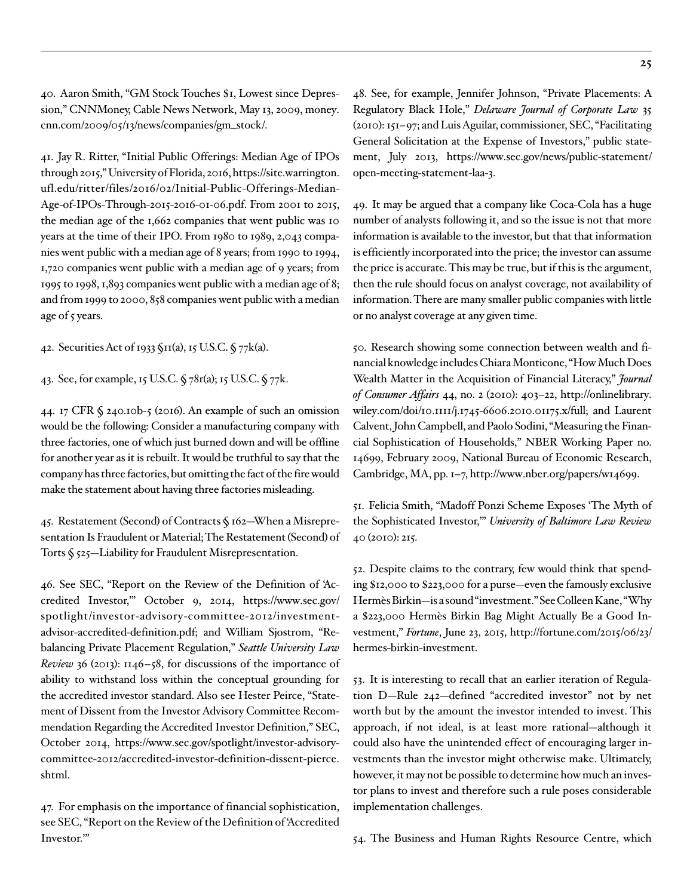<span id="page-24-0"></span>40. Aaron Smith, "GM Stock Touches \$1, Lowest since Depression," CNNMoney, Cable News Network, May 13, 2009, [money.](http://money.cnn.com/2009/05/13/news/companies/gm_stock/) [cnn.com/2009/05/13/news/companies/gm\\_stock/](http://money.cnn.com/2009/05/13/news/companies/gm_stock/).

<span id="page-24-1"></span>41. Jay R. Ritter, "Initial Public Offerings: Median Age of IPOs through 2015," University of Florida, 2016, [https://site.warrington.](https://site.warrington.ufl.edu/ritter/files/2016/02/Initial-Public-Offerings-Median-Age-of-IPOs-Through-2015-2016-01-06.pdf) [ufl.edu/ritter/files/2016/02/Initial-Public-Offerings-Median-](https://site.warrington.ufl.edu/ritter/files/2016/02/Initial-Public-Offerings-Median-Age-of-IPOs-Through-2015-2016-01-06.pdf)[Age-of-IPOs-Through-2015-2016-01-06.pdf.](https://site.warrington.ufl.edu/ritter/files/2016/02/Initial-Public-Offerings-Median-Age-of-IPOs-Through-2015-2016-01-06.pdf) From 2001 to 2015, the median age of the 1,662 companies that went public was 10 years at the time of their IPO. From 1980 to 1989, 2,043 companies went public with a median age of 8 years; from 1990 to 1994, 1,720 companies went public with a median age of 9 years; from 1995 to 1998, 1,893 companies went public with a median age of 8; and from 1999 to 2000, 858 companies went public with a median age of 5 years.

<span id="page-24-2"></span>42. Securities Act of 1933 §11(a), 15 U.S.C. § 77k(a).

<span id="page-24-3"></span>43. See, for example, 15 U.S.C. § 78r(a); 15 U.S.C. § 77k.

<span id="page-24-4"></span>44. 17 CFR § 240.10b-5 (2016). An example of such an omission would be the following: Consider a manufacturing company with three factories, one of which just burned down and will be offline for another year as it is rebuilt. It would be truthful to say that the company has three factories, but omitting the fact of the fire would make the statement about having three factories misleading.

<span id="page-24-5"></span>45. Restatement (Second) of Contracts § 162—When a Misrepresentation Is Fraudulent or Material; The Restatement (Second) of Torts § 525—Liability for Fraudulent Misrepresentation.

<span id="page-24-6"></span>46. See SEC, "Report on the Review of the Definition of 'Accredited Investor,'" October 9, 2014, [https://www.sec.gov/](https://www.sec.gov/spotlight/investor-advisory-committee-2012/investment-advisor-accredited-definition.pdf) [spotlight/investor-advisory-committee-2012/investment](https://www.sec.gov/spotlight/investor-advisory-committee-2012/investment-advisor-accredited-definition.pdf)[advisor-accredited-definition.pdf](https://www.sec.gov/spotlight/investor-advisory-committee-2012/investment-advisor-accredited-definition.pdf); and William Sjostrom, "Rebalancing Private Placement Regulation," *Seattle University Law Review* 36 (2013): 1146–58, for discussions of the importance of ability to withstand loss within the conceptual grounding for the accredited investor standard. Also see Hester Peirce, "Statement of Dissent from the Investor Advisory Committee Recommendation Regarding the Accredited Investor Definition," SEC, October 2014, [https://www.sec.gov/spotlight/investor-advisory](https://www.sec.gov/spotlight/investor-advisory-committee-2012/accredited-investor-definition-dissent-pierce.shtml)[committee-2012/accredited-investor-definition-dissent-pierce.](https://www.sec.gov/spotlight/investor-advisory-committee-2012/accredited-investor-definition-dissent-pierce.shtml) [shtml](https://www.sec.gov/spotlight/investor-advisory-committee-2012/accredited-investor-definition-dissent-pierce.shtml).

<span id="page-24-7"></span>47. For emphasis on the importance of financial sophistication, see SEC, "Report on the Review of the Definition of 'Accredited Investor.'"

<span id="page-24-8"></span>48. See, for example, Jennifer Johnson, "Private Placements: A Regulatory Black Hole," *Delaware Journal of Corporate Law* 35 (2010): 151–97; and Luis Aguilar, commissioner, SEC, "Facilitating General Solicitation at the Expense of Investors," public statement, July 2013, [https://www.sec.gov/news/public-statement/](https://www.sec.gov/news/public-statement/open-meeting-statement-laa-3) [open-meeting-statement-laa-3.](https://www.sec.gov/news/public-statement/open-meeting-statement-laa-3)

<span id="page-24-9"></span>49. It may be argued that a company like Coca-Cola has a huge number of analysts following it, and so the issue is not that more information is available to the investor, but that that information is efficiently incorporated into the price; the investor can assume the price is accurate. This may be true, but if this is the argument, then the rule should focus on analyst coverage, not availability of information. There are many smaller public companies with little or no analyst coverage at any given time.

<span id="page-24-10"></span>50. Research showing some connection between wealth and financial knowledge includes Chiara Monticone, "How Much Does Wealth Matter in the Acquisition of Financial Literacy," *Journal of Consumer Affairs* 44, no. 2 (2010): 403–22, [http://onlinelibrary.](http://onlinelibrary.wiley.com/doi/10.1111/j.1745-6606.2010.01175.x/full) [wiley.com/doi/10.1111/j.1745-6606.2010.01175.x/full](http://onlinelibrary.wiley.com/doi/10.1111/j.1745-6606.2010.01175.x/full); and Laurent Calvent, John Campbell, and Paolo Sodini, "Measuring the Financial Sophistication of Households," NBER Working Paper no. 14699, February 2009, National Bureau of Economic Research, Cambridge, MA, pp. 1–7, [http://www.nber.org/papers/w14699.](http://www.nber.org/papers/w14699)

<span id="page-24-11"></span>51. Felicia Smith, "Madoff Ponzi Scheme Exposes 'The Myth of the Sophisticated Investor,'" *University of Baltimore Law Review*  40 (2010): 215.

<span id="page-24-12"></span>52. Despite claims to the contrary, few would think that spending \$12,000 to \$223,000 for a purse—even the famously exclusive Hermès Birkin—is a sound "investment." See Colleen Kane, "Why a \$223,000 Hermès Birkin Bag Might Actually Be a Good Investment," *Fortune*, June 23, 2015, [http://fortune.com/2015/06/23/](http://fortune.com/2015/06/23/hermes-birkin-investment) [hermes-birkin-investment.](http://fortune.com/2015/06/23/hermes-birkin-investment)

<span id="page-24-13"></span>53. It is interesting to recall that an earlier iteration of Regulation D—Rule 242—defined "accredited investor" not by net worth but by the amount the investor intended to invest. This approach, if not ideal, is at least more rational—although it could also have the unintended effect of encouraging larger investments than the investor might otherwise make. Ultimately, however, it may not be possible to determine how much an investor plans to invest and therefore such a rule poses considerable implementation challenges.

<span id="page-24-14"></span>54. The Business and Human Rights Resource Centre, which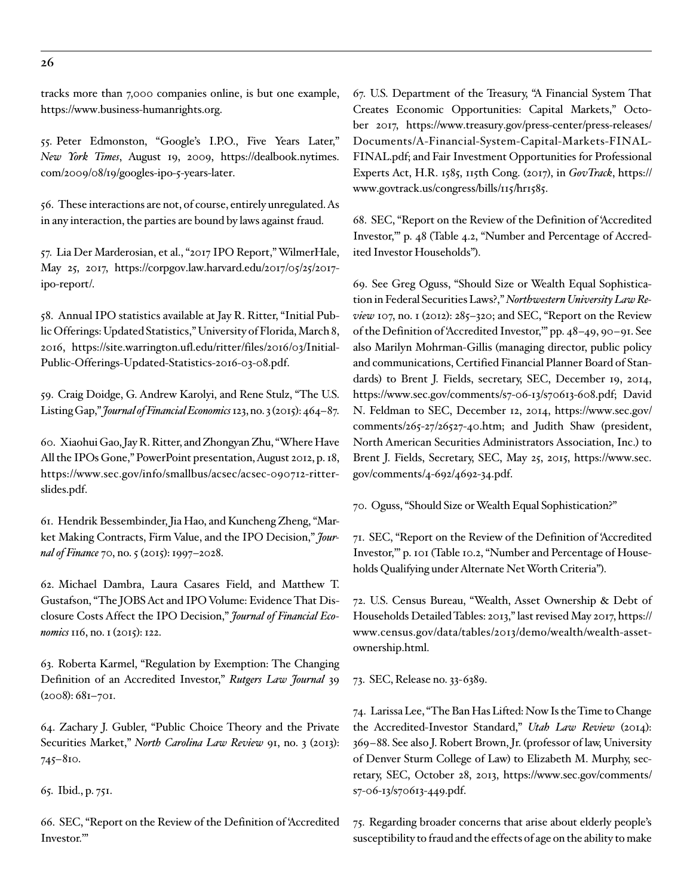tracks more than 7,000 companies online, is but one example, <https://www.business-humanrights.org>.

<span id="page-25-0"></span>55. Peter Edmonston, "Google's I.P.O., Five Years Later," *New York Times*, August 19, 2009, [https://dealbook.nytimes.](https://dealbook.nytimes.com/2009/08/19/googles-ipo-5-years-later) [com/2009/08/19/googles-ipo-5-years-later](https://dealbook.nytimes.com/2009/08/19/googles-ipo-5-years-later).

<span id="page-25-1"></span>56. These interactions are not, of course, entirely unregulated. As in any interaction, the parties are bound by laws against fraud.

<span id="page-25-2"></span>57. Lia Der Marderosian, et al., "2017 IPO Report," WilmerHale, May 25, 2017, [https://corpgov.law.harvard.edu/2017/05/25/2017](https://corpgov.law.harvard.edu/2017/05/25/2017-ipo-report/) [ipo-report/](https://corpgov.law.harvard.edu/2017/05/25/2017-ipo-report/).

<span id="page-25-3"></span>58. Annual IPO statistics available at Jay R. Ritter, "Initial Public Offerings: Updated Statistics," University of Florida, March 8, 2016, [https://site.warrington.ufl.edu/ritter/files/2016/03/Initial-](https://site.warrington.ufl.edu/ritter/files/2016/03/Initial-Public-Offerings-Updated-Statistics-2016-03-08.pdf)[Public-Offerings-Updated-Statistics-2016-03-08.pdf.](https://site.warrington.ufl.edu/ritter/files/2016/03/Initial-Public-Offerings-Updated-Statistics-2016-03-08.pdf)

<span id="page-25-4"></span>59. Craig Doidge, G. Andrew Karolyi, and Rene Stulz, "The U.S. Listing Gap," *Journal of Financial Economics* 123, no. 3 (2015): 464–87.

<span id="page-25-5"></span>60. Xiaohui Gao, Jay R. Ritter, and Zhongyan Zhu, "Where Have All the IPOs Gone," PowerPoint presentation, August 2012, p. 18, [https://www.sec.gov/info/smallbus/acsec/acsec-090712-ritter](https://www.sec.gov/info/smallbus/acsec/acsec-090712-ritter-slides.pdf)[slides.pdf.](https://www.sec.gov/info/smallbus/acsec/acsec-090712-ritter-slides.pdf)

<span id="page-25-6"></span>61. Hendrik Bessembinder, Jia Hao, and Kuncheng Zheng, "Market Making Contracts, Firm Value, and the IPO Decision," *Journal of Finance* 70, no. 5 (2015): 1997–2028.

<span id="page-25-7"></span>62. Michael Dambra, Laura Casares Field, and Matthew T. Gustafson, "The JOBS Act and IPO Volume: Evidence That Disclosure Costs Affect the IPO Decision," *Journal of Financial Economics* 116, no. 1 (2015): 122.

<span id="page-25-8"></span>63. Roberta Karmel, "Regulation by Exemption: The Changing Definition of an Accredited Investor," *Rutgers Law Journal* 39 (2008): 681–701.

<span id="page-25-9"></span>64. Zachary J. Gubler, "Public Choice Theory and the Private Securities Market," *North Carolina Law Review* 91, no. 3 (2013): 745–810.

<span id="page-25-10"></span>65. Ibid., p. 751.

<span id="page-25-11"></span>66. SEC, "Report on the Review of the Definition of 'Accredited Investor.'"

<span id="page-25-12"></span>67. U.S. Department of the Treasury, "A Financial System That Creates Economic Opportunities: Capital Markets," October 2017, [https://www.treasury.gov/press-center/press-releases/](https://www.treasury.gov/press-center/press-releases/Documents/A-Financial-System-Capital-Markets-FINAL-FINAL.pdf) [Documents/A-Financial-System-Capital-Markets-FINAL-](https://www.treasury.gov/press-center/press-releases/Documents/A-Financial-System-Capital-Markets-FINAL-FINAL.pdf)[FINAL.pdf](https://www.treasury.gov/press-center/press-releases/Documents/A-Financial-System-Capital-Markets-FINAL-FINAL.pdf); and Fair Investment Opportunities for Professional Experts Act, H.R. 1585, 115th Cong. (2017), in *GovTrack*, [https://](https://www.govtrack.us/congress/bills/115/hr1585) [www.govtrack.us/congress/bills/115/hr1585](https://www.govtrack.us/congress/bills/115/hr1585).

<span id="page-25-13"></span>68. SEC, "Report on the Review of the Definition of 'Accredited Investor,'" p. 48 (Table 4.2, "Number and Percentage of Accredited Investor Households").

<span id="page-25-14"></span>69. See Greg Oguss, "Should Size or Wealth Equal Sophistication in Federal Securities Laws?," *Northwestern University Law Review* 107, no. 1 (2012): 285–320; and SEC, "Report on the Review of the Definition of 'Accredited Investor,'" pp. 48–49, 90–91. See also Marilyn Mohrman-Gillis (managing director, public policy and communications, Certified Financial Planner Board of Standards) to Brent J. Fields, secretary, SEC, December 19, 2014, [https://www.sec.gov/comments/s7-06-13/s70613-608.pdf;](https://www.sec.gov/comments/s7-06-13/s70613-608.pdf) David N. Feldman to SEC, December 12, 2014, [https://www.sec.gov/](https://www.sec.gov/comments/265-27/26527-40.htm) [comments/265-27/26527-40.htm](https://www.sec.gov/comments/265-27/26527-40.htm); and Judith Shaw (president, North American Securities Administrators Association, Inc.) to Brent J. Fields, Secretary, SEC, May 25, 2015, [https://www.sec.](https://www.sec.gov/comments/4-692/4692-34.pdf) [gov/comments/4-692/4692-34.pdf.](https://www.sec.gov/comments/4-692/4692-34.pdf)

<span id="page-25-15"></span>70. Oguss, "Should Size or Wealth Equal Sophistication?"

<span id="page-25-16"></span>71. SEC, "Report on the Review of the Definition of 'Accredited Investor,'" p. 101 (Table 10.2, "Number and Percentage of Households Qualifying under Alternate Net Worth Criteria").

<span id="page-25-17"></span>72. U.S. Census Bureau, "Wealth, Asset Ownership & Debt of Households Detailed Tables: 2013," last revised May 2017, [https://](https://www.census.gov/data/tables/2013/demo/wealth/wealth-asset-ownership.html) [www.census.gov/data/tables/2013/demo/wealth/wealth-asset](https://www.census.gov/data/tables/2013/demo/wealth/wealth-asset-ownership.html)[ownership.html](https://www.census.gov/data/tables/2013/demo/wealth/wealth-asset-ownership.html).

<span id="page-25-18"></span>73. SEC, Release no. 33-6389.

<span id="page-25-19"></span>74. Larissa Lee, "The Ban Has Lifted: Now Is the Time to Change the Accredited-Investor Standard," *Utah Law Review* (2014): 369–88. See also J. Robert Brown, Jr. (professor of law, University of Denver Sturm College of Law) to Elizabeth M. Murphy, secretary, SEC, October 28, 2013, [https://www.sec.gov/comments/](https://www.sec.gov/comments/s7-06-13/s70613-449.pdf) [s7-06-13/s70613-449.pdf.](https://www.sec.gov/comments/s7-06-13/s70613-449.pdf)

<span id="page-25-20"></span>75. Regarding broader concerns that arise about elderly people's susceptibility to fraud and the effects of age on the ability to make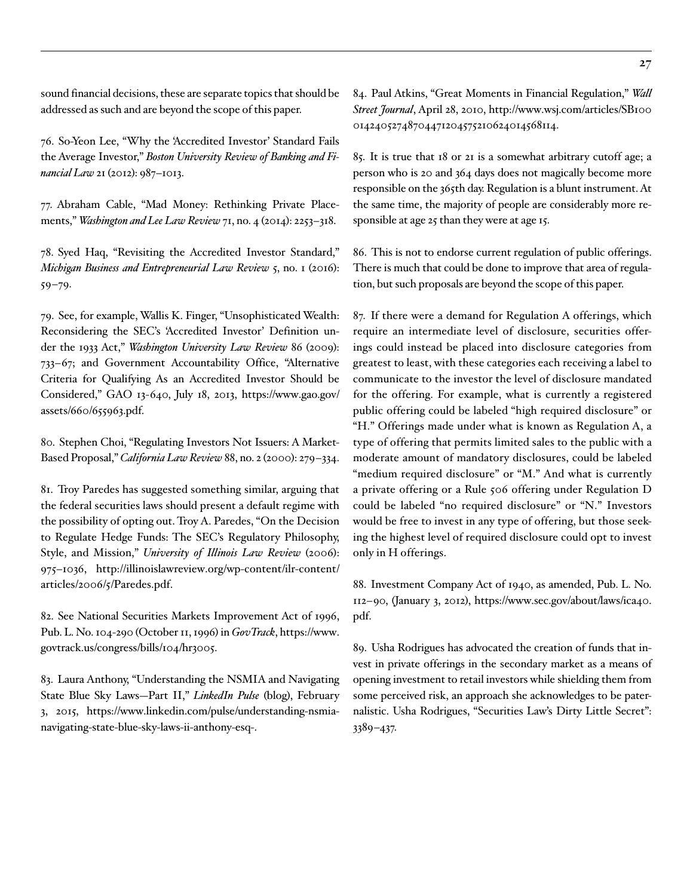sound financial decisions, these are separate topics that should be addressed as such and are beyond the scope of this paper.

<span id="page-26-0"></span>76. So-Yeon Lee, "Why the 'Accredited Investor' Standard Fails the Average Investor," *Boston University Review of Banking and Financial Law* 21 (2012): 987–1013.

<span id="page-26-1"></span>77. Abraham Cable, "Mad Money: Rethinking Private Placements," *Washington and Lee Law Review* 71, no. 4 (2014): 2253–318.

<span id="page-26-2"></span>78. Syed Haq, "Revisiting the Accredited Investor Standard," *Michigan Business and Entrepreneurial Law Review* 5, no. 1 (2016): 59–79.

<span id="page-26-3"></span>79. See, for example, Wallis K. Finger, "Unsophisticated Wealth: Reconsidering the SEC's 'Accredited Investor' Definition under the 1933 Act," *Washington University Law Review* 86 (2009): 733–67; and Government Accountability Office, "Alternative Criteria for Qualifying As an Accredited Investor Should be Considered," GAO 13-640, July 18, 2013, [https://www.gao.gov/](https://www.gao.gov/assets/660/655963.pdf) [assets/660/655963.pdf](https://www.gao.gov/assets/660/655963.pdf).

<span id="page-26-4"></span>80. Stephen Choi, "Regulating Investors Not Issuers: A Market-Based Proposal," *California Law Review* 88, no. 2 (2000): 279–334.

<span id="page-26-5"></span>81. Troy Paredes has suggested something similar, arguing that the federal securities laws should present a default regime with the possibility of opting out. Troy A. Paredes, "On the Decision to Regulate Hedge Funds: The SEC's Regulatory Philosophy, Style, and Mission," *University of Illinois Law Review* (2006): 975–1036, [http://illinoislawreview.org/wp-content/ilr-content/](http://illinoislawreview.org/wp-content/ilr-content/articles/2006/5/Paredes.pdf) [articles/2006/5/Paredes.pdf](http://illinoislawreview.org/wp-content/ilr-content/articles/2006/5/Paredes.pdf).

<span id="page-26-6"></span>82. See National Securities Markets Improvement Act of 1996, Pub. L. No. 104-290 (October 11, 1996) in *GovTrack*, [https://www.](https://www.govtrack.us/congress/bills/104/hr3005) [govtrack.us/congress/bills/104/hr3005.](https://www.govtrack.us/congress/bills/104/hr3005)

<span id="page-26-7"></span>83. Laura Anthony, "Understanding the NSMIA and Navigating State Blue Sky Laws—Part II," *LinkedIn Pulse* (blog), February 3, 2015, [https://www.linkedin.com/pulse/understanding-nsmia](https://www.linkedin.com/pulse/understanding-nsmia-navigating-state-blue-sky-laws-ii-anthony-esq-)[navigating-state-blue-sky-laws-ii-anthony-esq-.](https://www.linkedin.com/pulse/understanding-nsmia-navigating-state-blue-sky-laws-ii-anthony-esq-)

<span id="page-26-8"></span>84. Paul Atkins, "Great Moments in Financial Regulation," *Wall Street Journal*, April 28, 2010, [http://www.wsj.com/articles/SB100](http://www.wsj.com/articles/SB10001424052748704471204575210624014568114) [01424052748704471204575210624014568114.](http://www.wsj.com/articles/SB10001424052748704471204575210624014568114)

<span id="page-26-9"></span>85. It is true that 18 or 21 is a somewhat arbitrary cutoff age; a person who is 20 and 364 days does not magically become more responsible on the 365th day. Regulation is a blunt instrument. At the same time, the majority of people are considerably more responsible at age 25 than they were at age 15.

<span id="page-26-10"></span>86. This is not to endorse current regulation of public offerings. There is much that could be done to improve that area of regulation, but such proposals are beyond the scope of this paper.

<span id="page-26-11"></span>87. If there were a demand for Regulation A offerings, which require an intermediate level of disclosure, securities offerings could instead be placed into disclosure categories from greatest to least, with these categories each receiving a label to communicate to the investor the level of disclosure mandated for the offering. For example, what is currently a registered public offering could be labeled "high required disclosure" or "H." Offerings made under what is known as Regulation A, a type of offering that permits limited sales to the public with a moderate amount of mandatory disclosures, could be labeled "medium required disclosure" or "M." And what is currently a private offering or a Rule 506 offering under Regulation D could be labeled "no required disclosure" or "N." Investors would be free to invest in any type of offering, but those seeking the highest level of required disclosure could opt to invest only in H offerings.

<span id="page-26-12"></span>88. Investment Company Act of 1940, as amended, Pub. L. No. 112–90, (January 3, 2012), [https://www.sec.gov/about/laws/ica40.](https://www.sec.gov/about/laws/ica40.pdf) [pdf.](https://www.sec.gov/about/laws/ica40.pdf)

<span id="page-26-13"></span>89. Usha Rodrigues has advocated the creation of funds that invest in private offerings in the secondary market as a means of opening investment to retail investors while shielding them from some perceived risk, an approach she acknowledges to be paternalistic. Usha Rodrigues, "Securities Law's Dirty Little Secret": 3389–437.